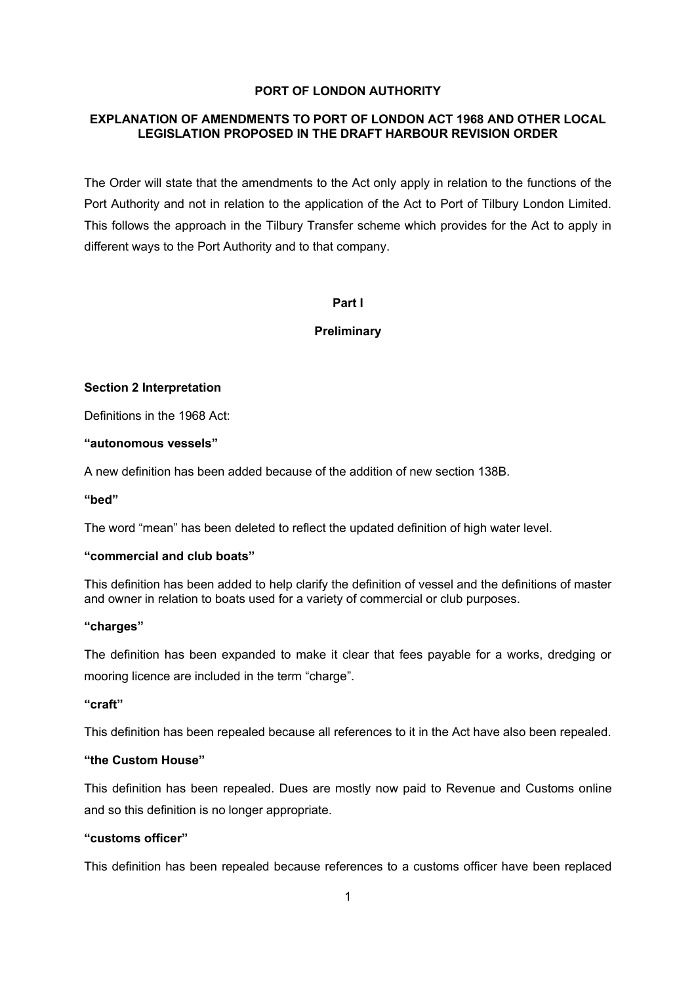## **PORT OF LONDON AUTHORITY**

## **EXPLANATION OF AMENDMENTS TO PORT OF LONDON ACT 1968 AND OTHER LOCAL LEGISLATION PROPOSED IN THE DRAFT HARBOUR REVISION ORDER**

The Order will state that the amendments to the Act only apply in relation to the functions of the Port Authority and not in relation to the application of the Act to Port of Tilbury London Limited. This follows the approach in the Tilbury Transfer scheme which provides for the Act to apply in different ways to the Port Authority and to that company.

## **Part I**

## **Preliminary**

## **Section 2 Interpretation**

Definitions in the 1968 Act:

## **"autonomous vessels"**

A new definition has been added because of the addition of new section 138B.

### **"bed"**

The word "mean" has been deleted to reflect the updated definition of high water level.

## **"commercial and club boats"**

This definition has been added to help clarify the definition of vessel and the definitions of master and owner in relation to boats used for a variety of commercial or club purposes.

### **"charges"**

The definition has been expanded to make it clear that fees payable for a works, dredging or mooring licence are included in the term "charge".

### **"craft"**

This definition has been repealed because all references to it in the Act have also been repealed.

## **"the Custom House"**

This definition has been repealed. Dues are mostly now paid to Revenue and Customs online and so this definition is no longer appropriate.

## **"customs officer"**

This definition has been repealed because references to a customs officer have been replaced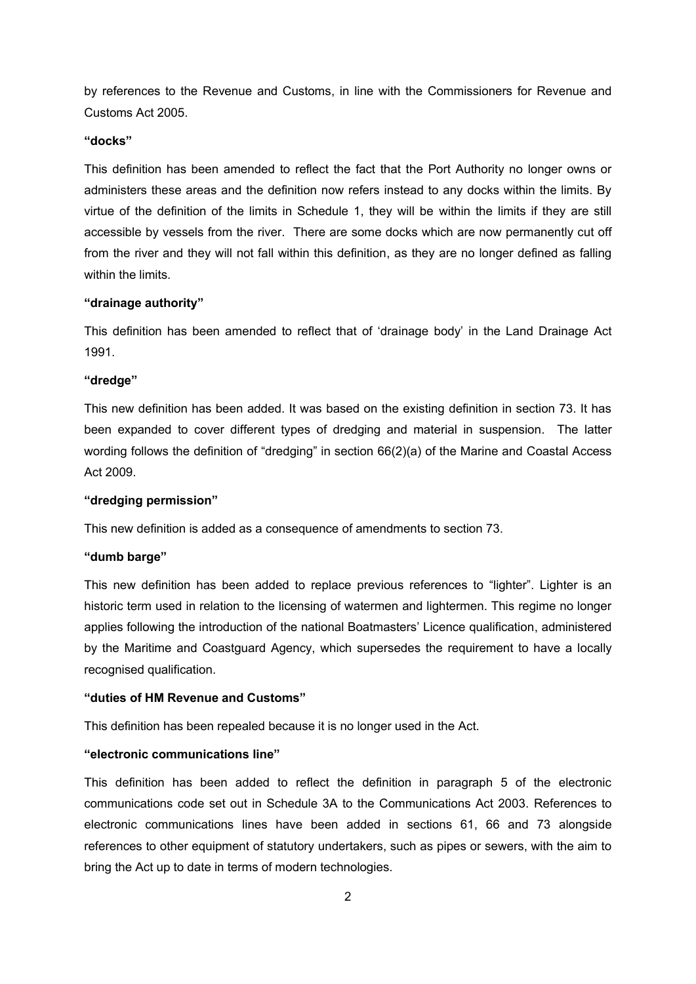by references to the Revenue and Customs, in line with the Commissioners for Revenue and Customs Act 2005.

### **"docks"**

This definition has been amended to reflect the fact that the Port Authority no longer owns or administers these areas and the definition now refers instead to any docks within the limits. By virtue of the definition of the limits in Schedule 1, they will be within the limits if they are still accessible by vessels from the river. There are some docks which are now permanently cut off from the river and they will not fall within this definition, as they are no longer defined as falling within the limits.

## **"drainage authority"**

This definition has been amended to reflect that of 'drainage body' in the Land Drainage Act 1991.

## **"dredge"**

This new definition has been added. It was based on the existing definition in section 73. It has been expanded to cover different types of dredging and material in suspension. The latter wording follows the definition of "dredging" in section 66(2)(a) of the Marine and Coastal Access Act 2009.

### **"dredging permission"**

This new definition is added as a consequence of amendments to section 73.

## **"dumb barge"**

This new definition has been added to replace previous references to "lighter". Lighter is an historic term used in relation to the licensing of watermen and lightermen. This regime no longer applies following the introduction of the national Boatmasters' Licence qualification, administered by the Maritime and Coastguard Agency, which supersedes the requirement to have a locally recognised qualification.

## **"duties of HM Revenue and Customs"**

This definition has been repealed because it is no longer used in the Act.

## **"electronic communications line"**

This definition has been added to reflect the definition in paragraph 5 of the electronic communications code set out in Schedule 3A to the Communications Act 2003. References to electronic communications lines have been added in sections 61, 66 and 73 alongside references to other equipment of statutory undertakers, such as pipes or sewers, with the aim to bring the Act up to date in terms of modern technologies.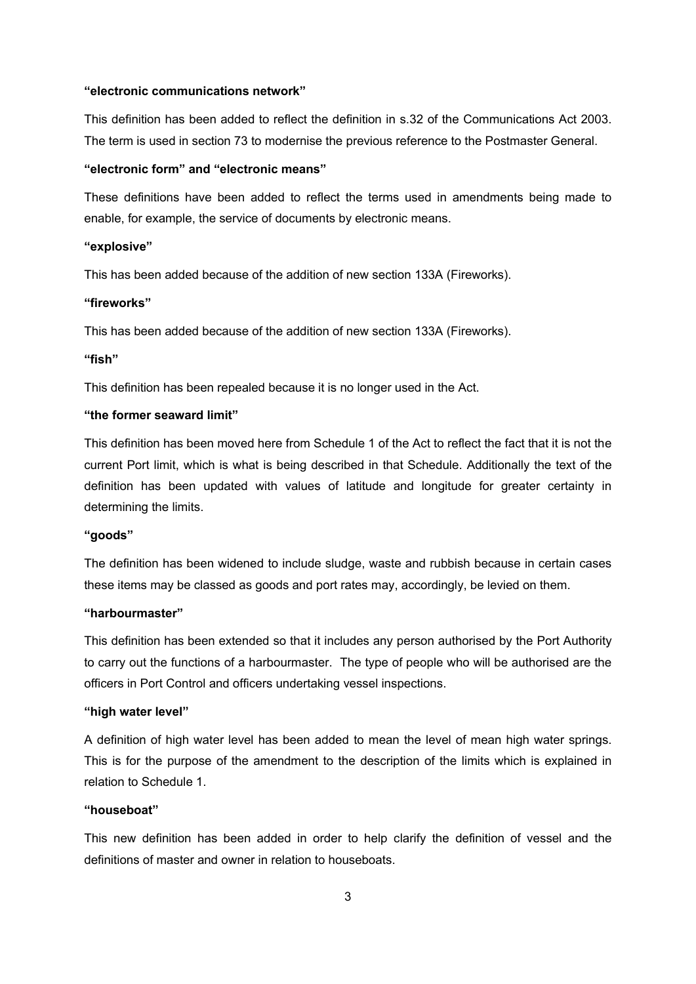#### **"electronic communications network"**

This definition has been added to reflect the definition in s.32 of the Communications Act 2003. The term is used in section 73 to modernise the previous reference to the Postmaster General.

### **"electronic form" and "electronic means"**

These definitions have been added to reflect the terms used in amendments being made to enable, for example, the service of documents by electronic means.

#### **"explosive"**

This has been added because of the addition of new section 133A (Fireworks).

## **"fireworks"**

This has been added because of the addition of new section 133A (Fireworks).

## **"fish"**

This definition has been repealed because it is no longer used in the Act.

## **"the former seaward limit"**

This definition has been moved here from Schedule 1 of the Act to reflect the fact that it is not the current Port limit, which is what is being described in that Schedule. Additionally the text of the definition has been updated with values of latitude and longitude for greater certainty in determining the limits.

## **"goods"**

The definition has been widened to include sludge, waste and rubbish because in certain cases these items may be classed as goods and port rates may, accordingly, be levied on them.

### **"harbourmaster"**

This definition has been extended so that it includes any person authorised by the Port Authority to carry out the functions of a harbourmaster. The type of people who will be authorised are the officers in Port Control and officers undertaking vessel inspections.

#### **"high water level"**

A definition of high water level has been added to mean the level of mean high water springs. This is for the purpose of the amendment to the description of the limits which is explained in relation to Schedule 1.

### **"houseboat"**

This new definition has been added in order to help clarify the definition of vessel and the definitions of master and owner in relation to houseboats.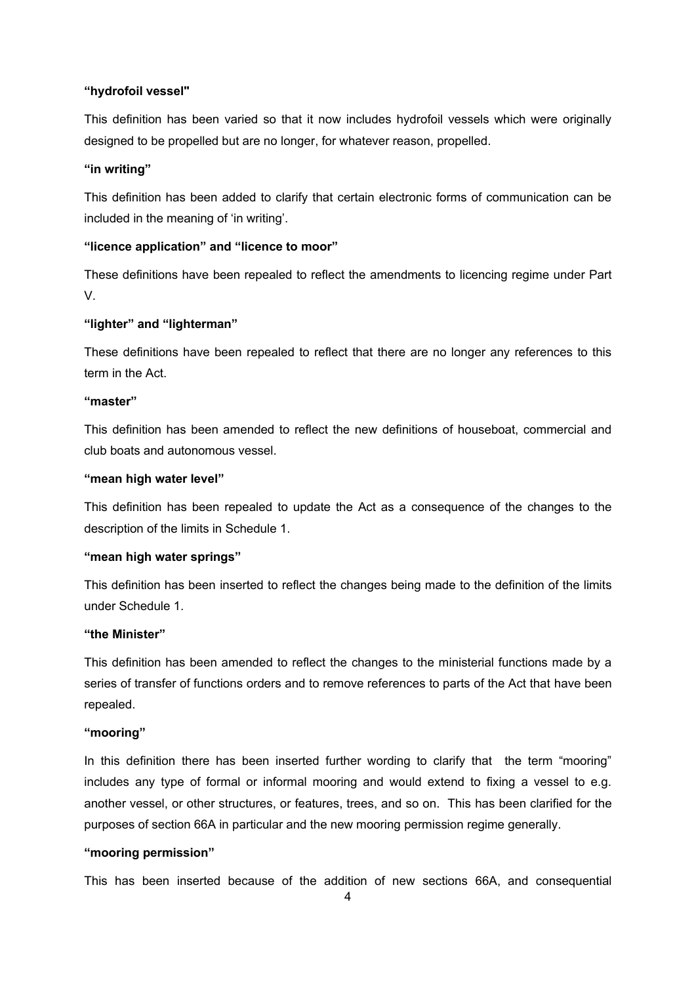## **"hydrofoil vessel"**

This definition has been varied so that it now includes hydrofoil vessels which were originally designed to be propelled but are no longer, for whatever reason, propelled.

### **"in writing"**

This definition has been added to clarify that certain electronic forms of communication can be included in the meaning of 'in writing'.

## **"licence application" and "licence to moor"**

These definitions have been repealed to reflect the amendments to licencing regime under Part V.

## **"lighter" and "lighterman"**

These definitions have been repealed to reflect that there are no longer any references to this term in the Act.

### **"master"**

This definition has been amended to reflect the new definitions of houseboat, commercial and club boats and autonomous vessel.

## **"mean high water level"**

This definition has been repealed to update the Act as a consequence of the changes to the description of the limits in Schedule 1.

## **"mean high water springs"**

This definition has been inserted to reflect the changes being made to the definition of the limits under Schedule 1.

## **"the Minister"**

This definition has been amended to reflect the changes to the ministerial functions made by a series of transfer of functions orders and to remove references to parts of the Act that have been repealed.

### **"mooring"**

In this definition there has been inserted further wording to clarify that the term "mooring" includes any type of formal or informal mooring and would extend to fixing a vessel to e.g. another vessel, or other structures, or features, trees, and so on. This has been clarified for the purposes of section 66A in particular and the new mooring permission regime generally.

## **"mooring permission"**

This has been inserted because of the addition of new sections 66A, and consequential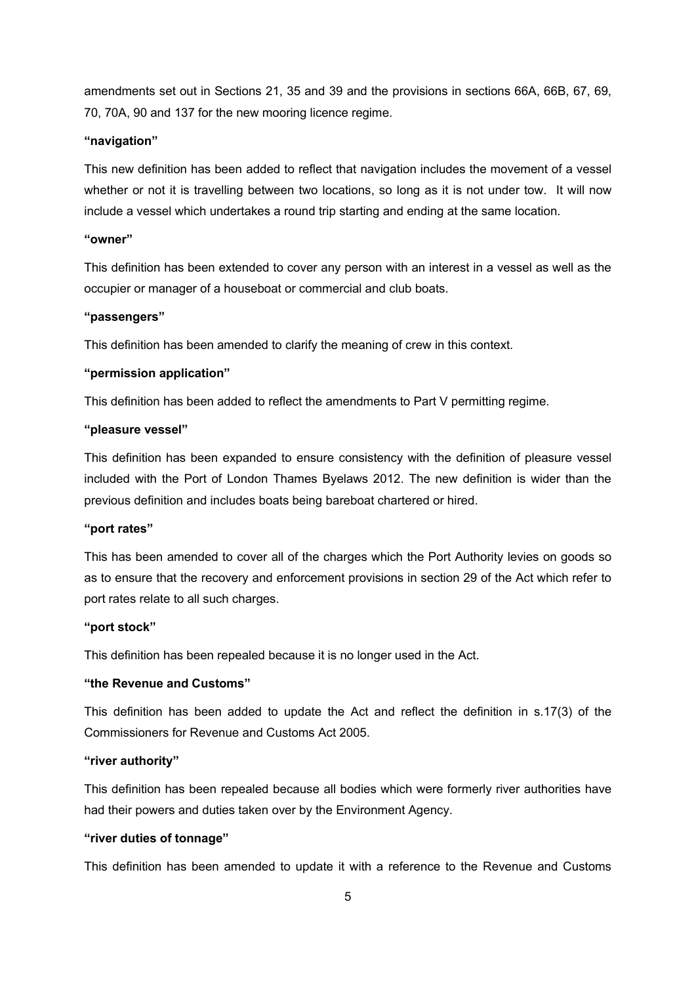amendments set out in Sections 21, 35 and 39 and the provisions in sections 66A, 66B, 67, 69, 70, 70A, 90 and 137 for the new mooring licence regime.

### **"navigation"**

This new definition has been added to reflect that navigation includes the movement of a vessel whether or not it is travelling between two locations, so long as it is not under tow. It will now include a vessel which undertakes a round trip starting and ending at the same location.

## **"owner"**

This definition has been extended to cover any person with an interest in a vessel as well as the occupier or manager of a houseboat or commercial and club boats.

#### **"passengers"**

This definition has been amended to clarify the meaning of crew in this context.

### **"permission application"**

This definition has been added to reflect the amendments to Part V permitting regime.

## **"pleasure vessel"**

This definition has been expanded to ensure consistency with the definition of pleasure vessel included with the Port of London Thames Byelaws 2012. The new definition is wider than the previous definition and includes boats being bareboat chartered or hired.

#### **"port rates"**

This has been amended to cover all of the charges which the Port Authority levies on goods so as to ensure that the recovery and enforcement provisions in section 29 of the Act which refer to port rates relate to all such charges.

#### **"port stock"**

This definition has been repealed because it is no longer used in the Act.

## **"the Revenue and Customs"**

This definition has been added to update the Act and reflect the definition in s.17(3) of the Commissioners for Revenue and Customs Act 2005.

### **"river authority"**

This definition has been repealed because all bodies which were formerly river authorities have had their powers and duties taken over by the Environment Agency.

#### **"river duties of tonnage"**

This definition has been amended to update it with a reference to the Revenue and Customs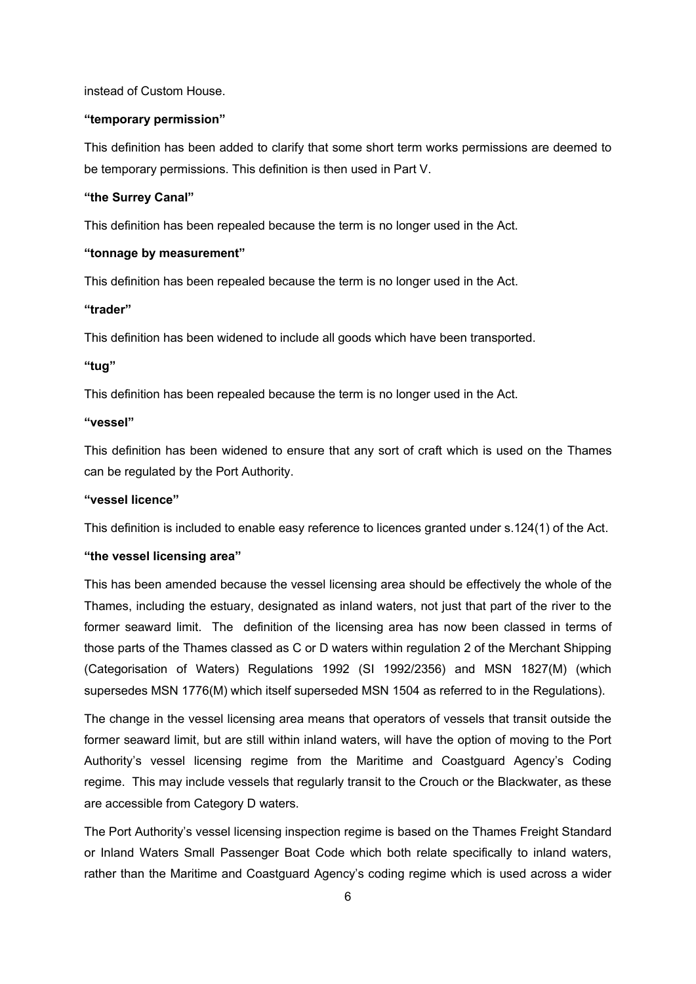instead of Custom House.

#### **"temporary permission"**

This definition has been added to clarify that some short term works permissions are deemed to be temporary permissions. This definition is then used in Part V.

## **"the Surrey Canal"**

This definition has been repealed because the term is no longer used in the Act.

## **"tonnage by measurement"**

This definition has been repealed because the term is no longer used in the Act.

### **"trader"**

This definition has been widened to include all goods which have been transported.

### **"tug"**

This definition has been repealed because the term is no longer used in the Act.

#### **"vessel"**

This definition has been widened to ensure that any sort of craft which is used on the Thames can be regulated by the Port Authority.

### **"vessel licence"**

This definition is included to enable easy reference to licences granted under s.124(1) of the Act.

## **"the vessel licensing area"**

This has been amended because the vessel licensing area should be effectively the whole of the Thames, including the estuary, designated as inland waters, not just that part of the river to the former seaward limit. The definition of the licensing area has now been classed in terms of those parts of the Thames classed as C or D waters within regulation 2 of the Merchant Shipping (Categorisation of Waters) Regulations 1992 (SI 1992/2356) and MSN 1827(M) (which supersedes MSN 1776(M) which itself superseded MSN 1504 as referred to in the Regulations).

The change in the vessel licensing area means that operators of vessels that transit outside the former seaward limit, but are still within inland waters, will have the option of moving to the Port Authority's vessel licensing regime from the Maritime and Coastguard Agency's Coding regime. This may include vessels that regularly transit to the Crouch or the Blackwater, as these are accessible from Category D waters.

The Port Authority's vessel licensing inspection regime is based on the Thames Freight Standard or Inland Waters Small Passenger Boat Code which both relate specifically to inland waters, rather than the Maritime and Coastguard Agency's coding regime which is used across a wider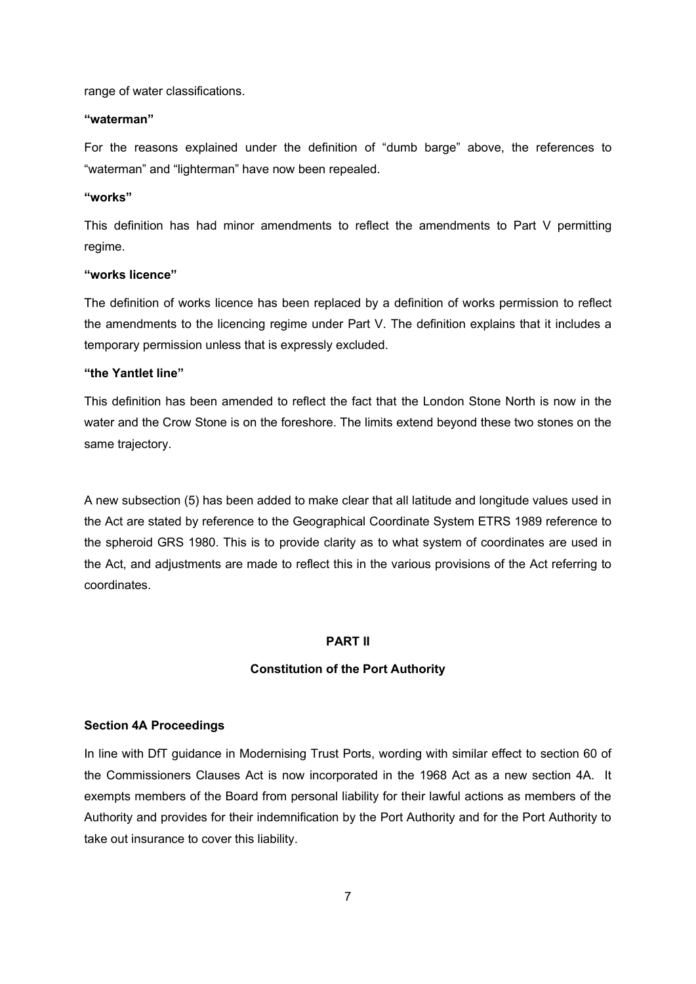range of water classifications.

### **"waterman"**

For the reasons explained under the definition of "dumb barge" above, the references to "waterman" and "lighterman" have now been repealed.

#### **"works"**

This definition has had minor amendments to reflect the amendments to Part V permitting regime.

### **"works licence"**

The definition of works licence has been replaced by a definition of works permission to reflect the amendments to the licencing regime under Part V. The definition explains that it includes a temporary permission unless that is expressly excluded.

## **"the Yantlet line"**

This definition has been amended to reflect the fact that the London Stone North is now in the water and the Crow Stone is on the foreshore. The limits extend beyond these two stones on the same trajectory.

A new subsection (5) has been added to make clear that all latitude and longitude values used in the Act are stated by reference to the Geographical Coordinate System ETRS 1989 reference to the spheroid GRS 1980. This is to provide clarity as to what system of coordinates are used in the Act, and adjustments are made to reflect this in the various provisions of the Act referring to coordinates.

## **PART II**

### **Constitution of the Port Authority**

### **Section 4A Proceedings**

In line with DfT guidance in Modernising Trust Ports, wording with similar effect to section 60 of the Commissioners Clauses Act is now incorporated in the 1968 Act as a new section 4A. It exempts members of the Board from personal liability for their lawful actions as members of the Authority and provides for their indemnification by the Port Authority and for the Port Authority to take out insurance to cover this liability.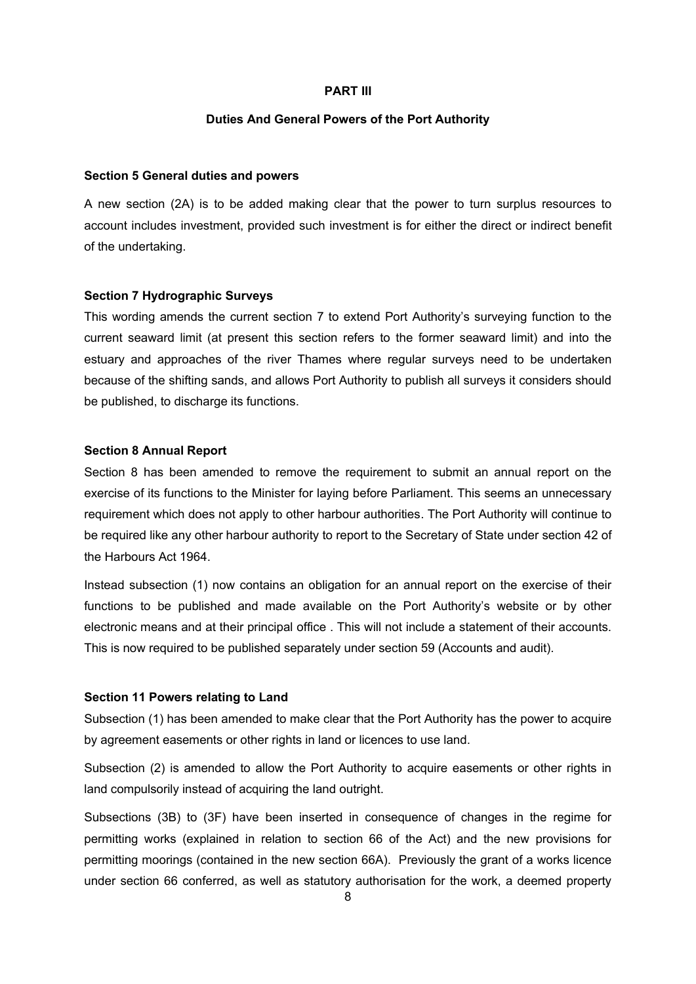#### **PART III**

### **Duties And General Powers of the Port Authority**

#### **Section 5 General duties and powers**

A new section (2A) is to be added making clear that the power to turn surplus resources to account includes investment, provided such investment is for either the direct or indirect benefit of the undertaking.

#### **Section 7 Hydrographic Surveys**

This wording amends the current section 7 to extend Port Authority's surveying function to the current seaward limit (at present this section refers to the former seaward limit) and into the estuary and approaches of the river Thames where regular surveys need to be undertaken because of the shifting sands, and allows Port Authority to publish all surveys it considers should be published, to discharge its functions.

#### **Section 8 Annual Report**

Section 8 has been amended to remove the requirement to submit an annual report on the exercise of its functions to the Minister for laying before Parliament. This seems an unnecessary requirement which does not apply to other harbour authorities. The Port Authority will continue to be required like any other harbour authority to report to the Secretary of State under section 42 of the Harbours Act 1964.

Instead subsection (1) now contains an obligation for an annual report on the exercise of their functions to be published and made available on the Port Authority's website or by other electronic means and at their principal office . This will not include a statement of their accounts. This is now required to be published separately under section 59 (Accounts and audit).

## **Section 11 Powers relating to Land**

Subsection (1) has been amended to make clear that the Port Authority has the power to acquire by agreement easements or other rights in land or licences to use land.

Subsection (2) is amended to allow the Port Authority to acquire easements or other rights in land compulsorily instead of acquiring the land outright.

Subsections (3B) to (3F) have been inserted in consequence of changes in the regime for permitting works (explained in relation to section 66 of the Act) and the new provisions for permitting moorings (contained in the new section 66A). Previously the grant of a works licence under section 66 conferred, as well as statutory authorisation for the work, a deemed property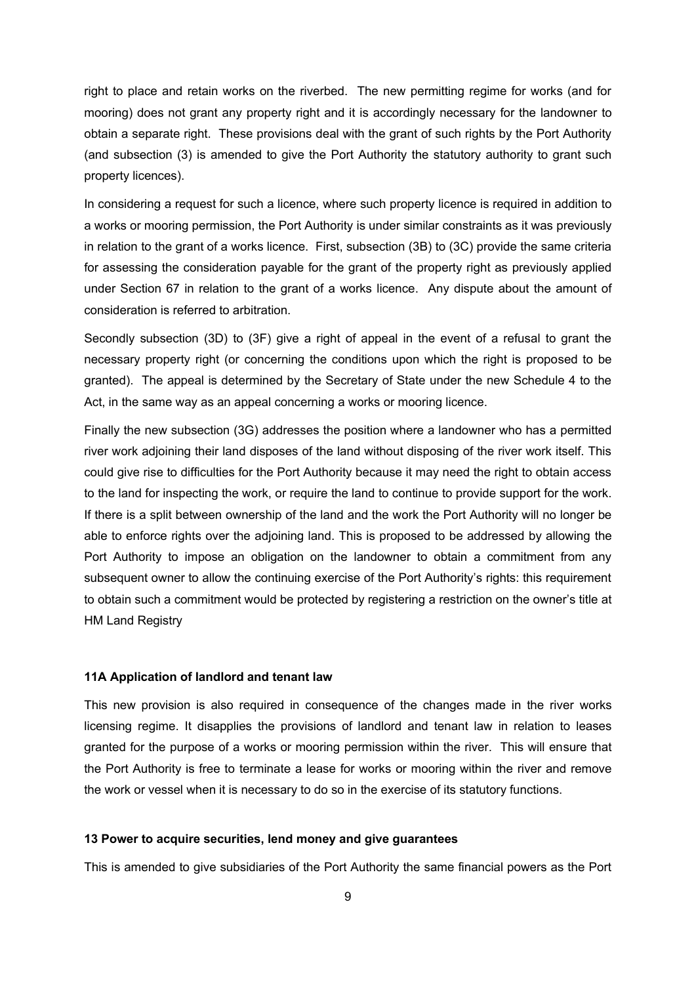right to place and retain works on the riverbed. The new permitting regime for works (and for mooring) does not grant any property right and it is accordingly necessary for the landowner to obtain a separate right. These provisions deal with the grant of such rights by the Port Authority (and subsection (3) is amended to give the Port Authority the statutory authority to grant such property licences).

In considering a request for such a licence, where such property licence is required in addition to a works or mooring permission, the Port Authority is under similar constraints as it was previously in relation to the grant of a works licence. First, subsection (3B) to (3C) provide the same criteria for assessing the consideration payable for the grant of the property right as previously applied under Section 67 in relation to the grant of a works licence. Any dispute about the amount of consideration is referred to arbitration.

Secondly subsection (3D) to (3F) give a right of appeal in the event of a refusal to grant the necessary property right (or concerning the conditions upon which the right is proposed to be granted). The appeal is determined by the Secretary of State under the new Schedule 4 to the Act, in the same way as an appeal concerning a works or mooring licence.

Finally the new subsection (3G) addresses the position where a landowner who has a permitted river work adjoining their land disposes of the land without disposing of the river work itself. This could give rise to difficulties for the Port Authority because it may need the right to obtain access to the land for inspecting the work, or require the land to continue to provide support for the work. If there is a split between ownership of the land and the work the Port Authority will no longer be able to enforce rights over the adjoining land. This is proposed to be addressed by allowing the Port Authority to impose an obligation on the landowner to obtain a commitment from any subsequent owner to allow the continuing exercise of the Port Authority's rights: this requirement to obtain such a commitment would be protected by registering a restriction on the owner's title at HM Land Registry

## **11A Application of landlord and tenant law**

This new provision is also required in consequence of the changes made in the river works licensing regime. It disapplies the provisions of landlord and tenant law in relation to leases granted for the purpose of a works or mooring permission within the river. This will ensure that the Port Authority is free to terminate a lease for works or mooring within the river and remove the work or vessel when it is necessary to do so in the exercise of its statutory functions.

## **13 Power to acquire securities, lend money and give guarantees**

This is amended to give subsidiaries of the Port Authority the same financial powers as the Port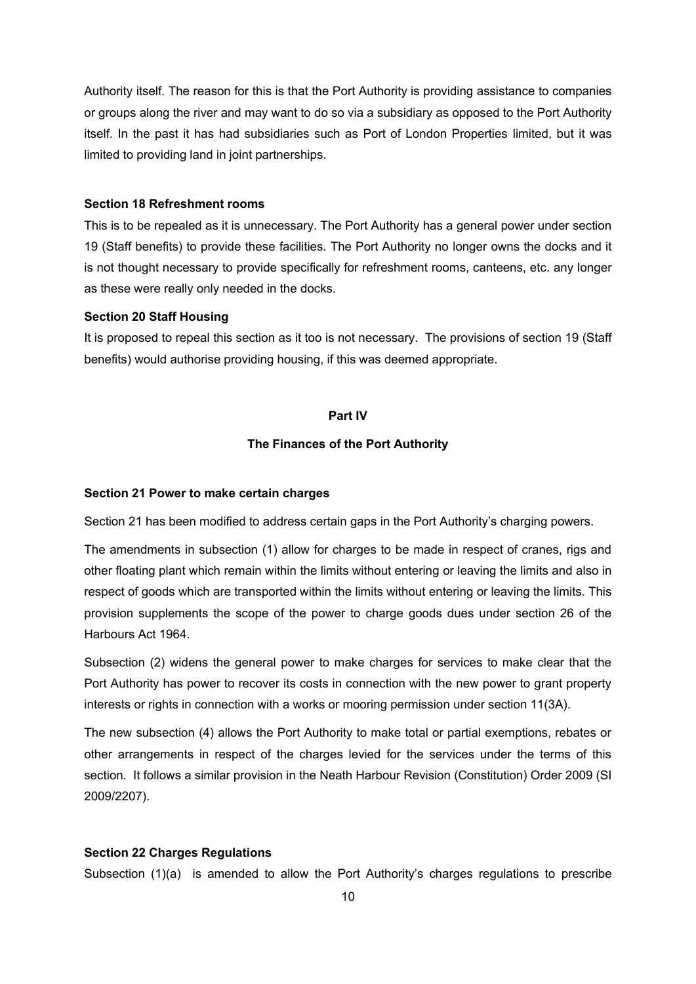Authority itself. The reason for this is that the Port Authority is providing assistance to companies or groups along the river and may want to do so via a subsidiary as opposed to the Port Authority itself. In the past it has had subsidiaries such as Port of London Properties limited, but it was limited to providing land in joint partnerships.

### **Section 18 Refreshment rooms**

This is to be repealed as it is unnecessary. The Port Authority has a general power under section 19 (Staff benefits) to provide these facilities. The Port Authority no longer owns the docks and it is not thought necessary to provide specifically for refreshment rooms, canteens, etc. any longer as these were really only needed in the docks.

#### **Section 20 Staff Housing**

It is proposed to repeal this section as it too is not necessary. The provisions of section 19 (Staff benefits) would authorise providing housing, if this was deemed appropriate.

## **Part IV**

## **The Finances of the Port Authority**

### **Section 21 Power to make certain charges**

Section 21 has been modified to address certain gaps in the Port Authority's charging powers.

The amendments in subsection (1) allow for charges to be made in respect of cranes, rigs and other floating plant which remain within the limits without entering or leaving the limits and also in respect of goods which are transported within the limits without entering or leaving the limits. This provision supplements the scope of the power to charge goods dues under section 26 of the Harbours Act 1964.

Subsection (2) widens the general power to make charges for services to make clear that the Port Authority has power to recover its costs in connection with the new power to grant property interests or rights in connection with a works or mooring permission under section 11(3A).

The new subsection (4) allows the Port Authority to make total or partial exemptions, rebates or other arrangements in respect of the charges levied for the services under the terms of this section. It follows a similar provision in the Neath Harbour Revision (Constitution) Order 2009 (SI 2009/2207).

### **Section 22 Charges Regulations**

Subsection (1)(a) is amended to allow the Port Authority's charges regulations to prescribe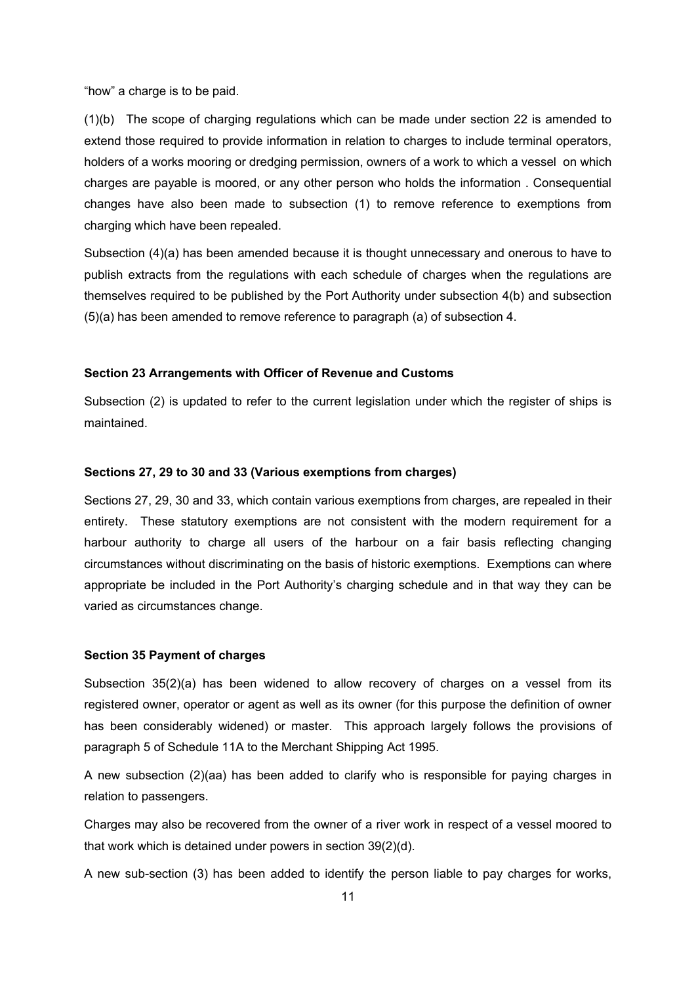"how" a charge is to be paid.

(1)(b) The scope of charging regulations which can be made under section 22 is amended to extend those required to provide information in relation to charges to include terminal operators, holders of a works mooring or dredging permission, owners of a work to which a vessel on which charges are payable is moored, or any other person who holds the information . Consequential changes have also been made to subsection (1) to remove reference to exemptions from charging which have been repealed.

Subsection (4)(a) has been amended because it is thought unnecessary and onerous to have to publish extracts from the regulations with each schedule of charges when the regulations are themselves required to be published by the Port Authority under subsection 4(b) and subsection (5)(a) has been amended to remove reference to paragraph (a) of subsection 4.

#### **Section 23 Arrangements with Officer of Revenue and Customs**

Subsection (2) is updated to refer to the current legislation under which the register of ships is maintained.

#### **Sections 27, 29 to 30 and 33 (Various exemptions from charges)**

Sections 27, 29, 30 and 33, which contain various exemptions from charges, are repealed in their entirety. These statutory exemptions are not consistent with the modern requirement for a harbour authority to charge all users of the harbour on a fair basis reflecting changing circumstances without discriminating on the basis of historic exemptions. Exemptions can where appropriate be included in the Port Authority's charging schedule and in that way they can be varied as circumstances change.

### **Section 35 Payment of charges**

Subsection 35(2)(a) has been widened to allow recovery of charges on a vessel from its registered owner, operator or agent as well as its owner (for this purpose the definition of owner has been considerably widened) or master. This approach largely follows the provisions of paragraph 5 of Schedule 11A to the Merchant Shipping Act 1995.

A new subsection (2)(aa) has been added to clarify who is responsible for paying charges in relation to passengers.

Charges may also be recovered from the owner of a river work in respect of a vessel moored to that work which is detained under powers in section 39(2)(d).

A new sub-section (3) has been added to identify the person liable to pay charges for works,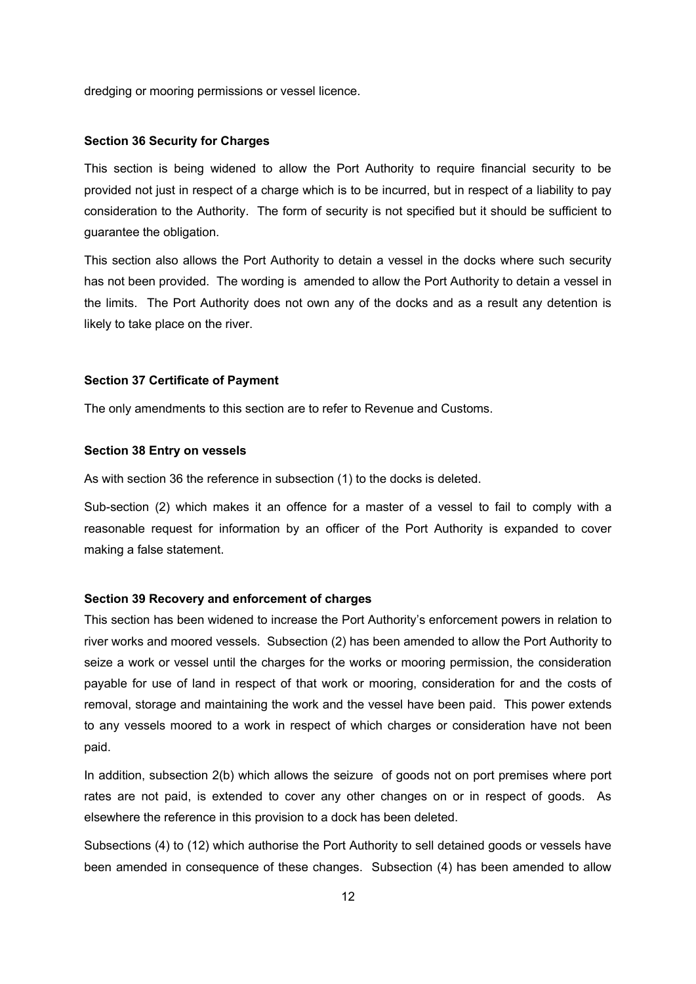dredging or mooring permissions or vessel licence.

### **Section 36 Security for Charges**

This section is being widened to allow the Port Authority to require financial security to be provided not just in respect of a charge which is to be incurred, but in respect of a liability to pay consideration to the Authority. The form of security is not specified but it should be sufficient to guarantee the obligation.

This section also allows the Port Authority to detain a vessel in the docks where such security has not been provided. The wording is amended to allow the Port Authority to detain a vessel in the limits. The Port Authority does not own any of the docks and as a result any detention is likely to take place on the river.

#### **Section 37 Certificate of Payment**

The only amendments to this section are to refer to Revenue and Customs.

### **Section 38 Entry on vessels**

As with section 36 the reference in subsection (1) to the docks is deleted.

Sub-section (2) which makes it an offence for a master of a vessel to fail to comply with a reasonable request for information by an officer of the Port Authority is expanded to cover making a false statement.

### **Section 39 Recovery and enforcement of charges**

This section has been widened to increase the Port Authority's enforcement powers in relation to river works and moored vessels. Subsection (2) has been amended to allow the Port Authority to seize a work or vessel until the charges for the works or mooring permission, the consideration payable for use of land in respect of that work or mooring, consideration for and the costs of removal, storage and maintaining the work and the vessel have been paid. This power extends to any vessels moored to a work in respect of which charges or consideration have not been paid.

In addition, subsection 2(b) which allows the seizure of goods not on port premises where port rates are not paid, is extended to cover any other changes on or in respect of goods. As elsewhere the reference in this provision to a dock has been deleted.

Subsections (4) to (12) which authorise the Port Authority to sell detained goods or vessels have been amended in consequence of these changes. Subsection (4) has been amended to allow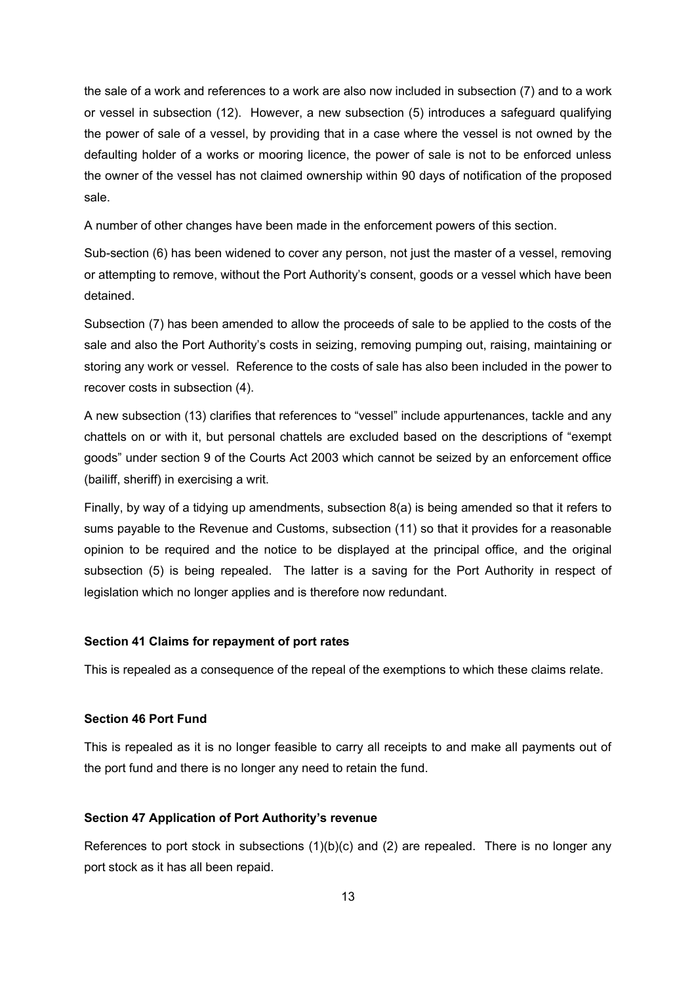the sale of a work and references to a work are also now included in subsection (7) and to a work or vessel in subsection (12). However, a new subsection (5) introduces a safeguard qualifying the power of sale of a vessel, by providing that in a case where the vessel is not owned by the defaulting holder of a works or mooring licence, the power of sale is not to be enforced unless the owner of the vessel has not claimed ownership within 90 days of notification of the proposed sale.

A number of other changes have been made in the enforcement powers of this section.

Sub-section (6) has been widened to cover any person, not just the master of a vessel, removing or attempting to remove, without the Port Authority's consent, goods or a vessel which have been detained.

Subsection (7) has been amended to allow the proceeds of sale to be applied to the costs of the sale and also the Port Authority's costs in seizing, removing pumping out, raising, maintaining or storing any work or vessel. Reference to the costs of sale has also been included in the power to recover costs in subsection (4).

A new subsection (13) clarifies that references to "vessel" include appurtenances, tackle and any chattels on or with it, but personal chattels are excluded based on the descriptions of "exempt goods" under section 9 of the Courts Act 2003 which cannot be seized by an enforcement office (bailiff, sheriff) in exercising a writ.

Finally, by way of a tidying up amendments, subsection 8(a) is being amended so that it refers to sums payable to the Revenue and Customs, subsection (11) so that it provides for a reasonable opinion to be required and the notice to be displayed at the principal office, and the original subsection (5) is being repealed. The latter is a saving for the Port Authority in respect of legislation which no longer applies and is therefore now redundant.

## **Section 41 Claims for repayment of port rates**

This is repealed as a consequence of the repeal of the exemptions to which these claims relate.

### **Section 46 Port Fund**

This is repealed as it is no longer feasible to carry all receipts to and make all payments out of the port fund and there is no longer any need to retain the fund.

## **Section 47 Application of Port Authority's revenue**

References to port stock in subsections  $(1)(b)(c)$  and  $(2)$  are repealed. There is no longer any port stock as it has all been repaid.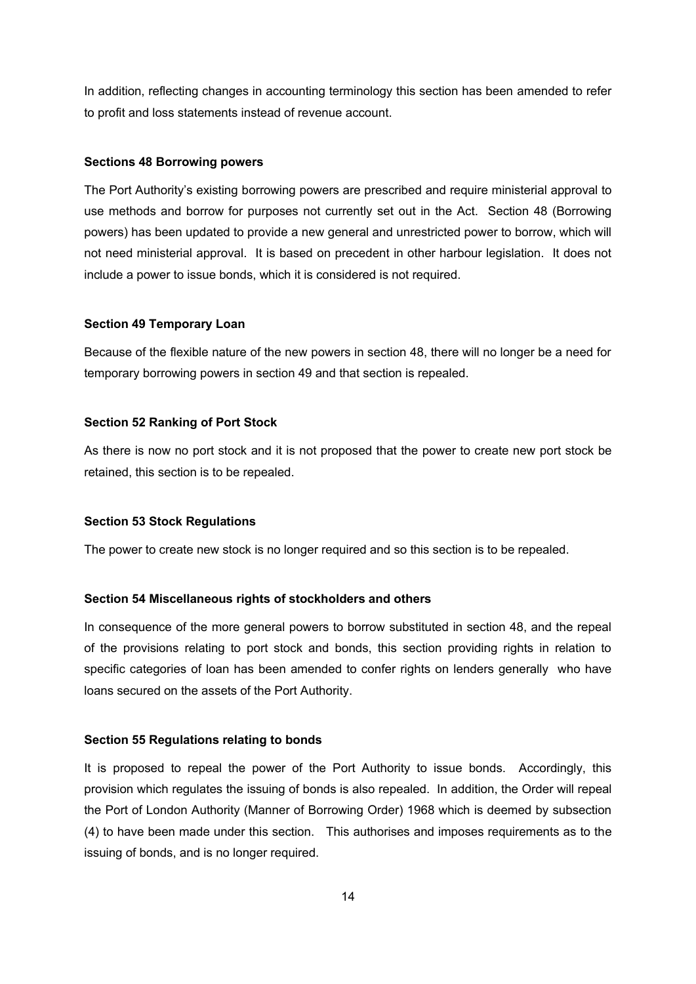In addition, reflecting changes in accounting terminology this section has been amended to refer to profit and loss statements instead of revenue account.

### **Sections 48 Borrowing powers**

The Port Authority's existing borrowing powers are prescribed and require ministerial approval to use methods and borrow for purposes not currently set out in the Act. Section 48 (Borrowing powers) has been updated to provide a new general and unrestricted power to borrow, which will not need ministerial approval. It is based on precedent in other harbour legislation. It does not include a power to issue bonds, which it is considered is not required.

### **Section 49 Temporary Loan**

Because of the flexible nature of the new powers in section 48, there will no longer be a need for temporary borrowing powers in section 49 and that section is repealed.

## **Section 52 Ranking of Port Stock**

As there is now no port stock and it is not proposed that the power to create new port stock be retained, this section is to be repealed.

### **Section 53 Stock Regulations**

The power to create new stock is no longer required and so this section is to be repealed.

### **Section 54 Miscellaneous rights of stockholders and others**

In consequence of the more general powers to borrow substituted in section 48, and the repeal of the provisions relating to port stock and bonds, this section providing rights in relation to specific categories of loan has been amended to confer rights on lenders generally who have loans secured on the assets of the Port Authority.

### **Section 55 Regulations relating to bonds**

It is proposed to repeal the power of the Port Authority to issue bonds. Accordingly, this provision which regulates the issuing of bonds is also repealed. In addition, the Order will repeal the Port of London Authority (Manner of Borrowing Order) 1968 which is deemed by subsection (4) to have been made under this section. This authorises and imposes requirements as to the issuing of bonds, and is no longer required.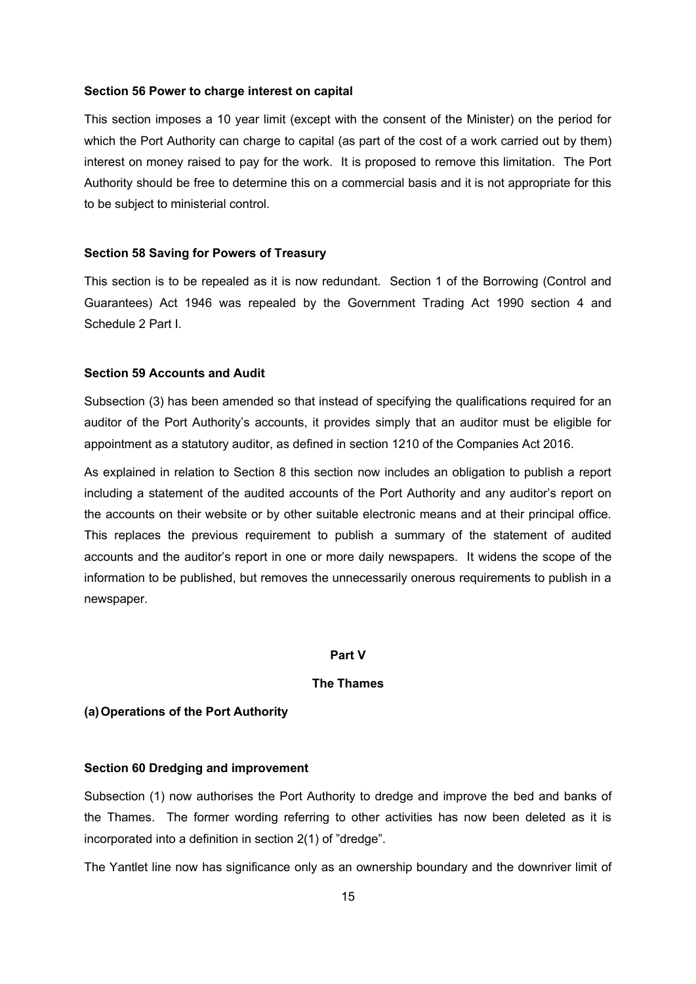### **Section 56 Power to charge interest on capital**

This section imposes a 10 year limit (except with the consent of the Minister) on the period for which the Port Authority can charge to capital (as part of the cost of a work carried out by them) interest on money raised to pay for the work. It is proposed to remove this limitation. The Port Authority should be free to determine this on a commercial basis and it is not appropriate for this to be subject to ministerial control.

## **Section 58 Saving for Powers of Treasury**

This section is to be repealed as it is now redundant. Section 1 of the Borrowing (Control and Guarantees) Act 1946 was repealed by the Government Trading Act 1990 section 4 and Schedule 2 Part I.

#### **Section 59 Accounts and Audit**

Subsection (3) has been amended so that instead of specifying the qualifications required for an auditor of the Port Authority's accounts, it provides simply that an auditor must be eligible for appointment as a statutory auditor, as defined in section 1210 of the Companies Act 2016.

As explained in relation to Section 8 this section now includes an obligation to publish a report including a statement of the audited accounts of the Port Authority and any auditor's report on the accounts on their website or by other suitable electronic means and at their principal office. This replaces the previous requirement to publish a summary of the statement of audited accounts and the auditor's report in one or more daily newspapers. It widens the scope of the information to be published, but removes the unnecessarily onerous requirements to publish in a newspaper.

### **Part V**

## **The Thames**

## **(a)Operations of the Port Authority**

#### **Section 60 Dredging and improvement**

Subsection (1) now authorises the Port Authority to dredge and improve the bed and banks of the Thames. The former wording referring to other activities has now been deleted as it is incorporated into a definition in section 2(1) of "dredge".

The Yantlet line now has significance only as an ownership boundary and the downriver limit of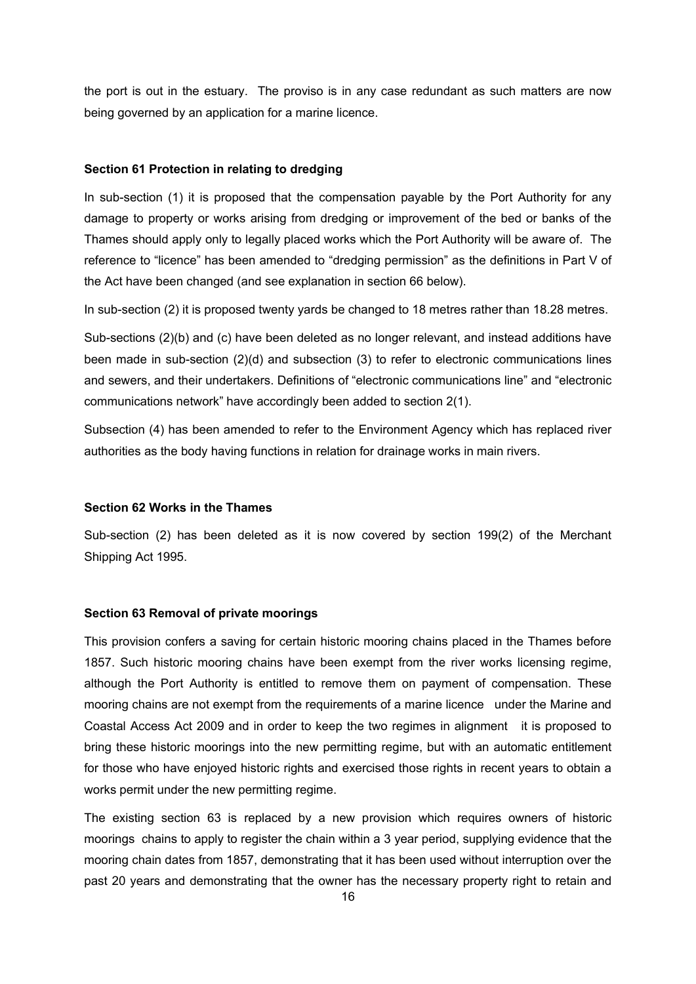the port is out in the estuary. The proviso is in any case redundant as such matters are now being governed by an application for a marine licence.

### **Section 61 Protection in relating to dredging**

In sub-section (1) it is proposed that the compensation payable by the Port Authority for any damage to property or works arising from dredging or improvement of the bed or banks of the Thames should apply only to legally placed works which the Port Authority will be aware of. The reference to "licence" has been amended to "dredging permission" as the definitions in Part V of the Act have been changed (and see explanation in section 66 below).

In sub-section (2) it is proposed twenty yards be changed to 18 metres rather than 18.28 metres.

Sub-sections (2)(b) and (c) have been deleted as no longer relevant, and instead additions have been made in sub-section (2)(d) and subsection (3) to refer to electronic communications lines and sewers, and their undertakers. Definitions of "electronic communications line" and "electronic communications network" have accordingly been added to section 2(1).

Subsection (4) has been amended to refer to the Environment Agency which has replaced river authorities as the body having functions in relation for drainage works in main rivers.

### **Section 62 Works in the Thames**

Sub-section (2) has been deleted as it is now covered by section 199(2) of the Merchant Shipping Act 1995.

### **Section 63 Removal of private moorings**

This provision confers a saving for certain historic mooring chains placed in the Thames before 1857. Such historic mooring chains have been exempt from the river works licensing regime, although the Port Authority is entitled to remove them on payment of compensation. These mooring chains are not exempt from the requirements of a marine licence under the Marine and Coastal Access Act 2009 and in order to keep the two regimes in alignment it is proposed to bring these historic moorings into the new permitting regime, but with an automatic entitlement for those who have enjoyed historic rights and exercised those rights in recent years to obtain a works permit under the new permitting regime.

The existing section 63 is replaced by a new provision which requires owners of historic moorings chains to apply to register the chain within a 3 year period, supplying evidence that the mooring chain dates from 1857, demonstrating that it has been used without interruption over the past 20 years and demonstrating that the owner has the necessary property right to retain and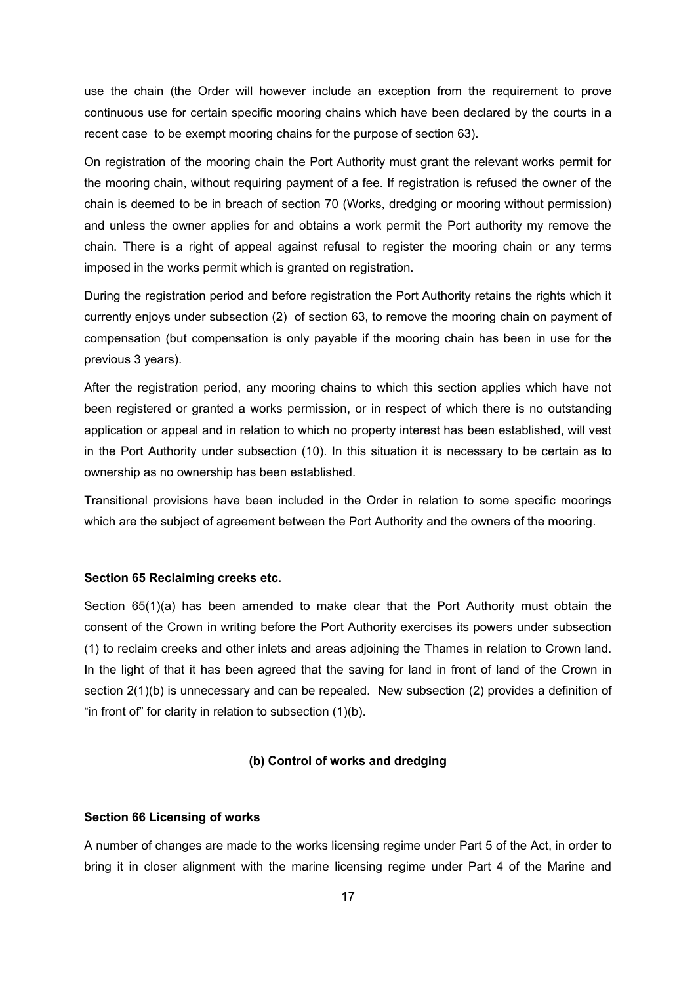use the chain (the Order will however include an exception from the requirement to prove continuous use for certain specific mooring chains which have been declared by the courts in a recent case to be exempt mooring chains for the purpose of section 63).

On registration of the mooring chain the Port Authority must grant the relevant works permit for the mooring chain, without requiring payment of a fee. If registration is refused the owner of the chain is deemed to be in breach of section 70 (Works, dredging or mooring without permission) and unless the owner applies for and obtains a work permit the Port authority my remove the chain. There is a right of appeal against refusal to register the mooring chain or any terms imposed in the works permit which is granted on registration.

During the registration period and before registration the Port Authority retains the rights which it currently enjoys under subsection (2) of section 63, to remove the mooring chain on payment of compensation (but compensation is only payable if the mooring chain has been in use for the previous 3 years).

After the registration period, any mooring chains to which this section applies which have not been registered or granted a works permission, or in respect of which there is no outstanding application or appeal and in relation to which no property interest has been established, will vest in the Port Authority under subsection (10). In this situation it is necessary to be certain as to ownership as no ownership has been established.

Transitional provisions have been included in the Order in relation to some specific moorings which are the subject of agreement between the Port Authority and the owners of the mooring.

### **Section 65 Reclaiming creeks etc.**

Section 65(1)(a) has been amended to make clear that the Port Authority must obtain the consent of the Crown in writing before the Port Authority exercises its powers under subsection (1) to reclaim creeks and other inlets and areas adjoining the Thames in relation to Crown land. In the light of that it has been agreed that the saving for land in front of land of the Crown in section 2(1)(b) is unnecessary and can be repealed. New subsection (2) provides a definition of "in front of" for clarity in relation to subsection (1)(b).

## **(b) Control of works and dredging**

#### **Section 66 Licensing of works**

A number of changes are made to the works licensing regime under Part 5 of the Act, in order to bring it in closer alignment with the marine licensing regime under Part 4 of the Marine and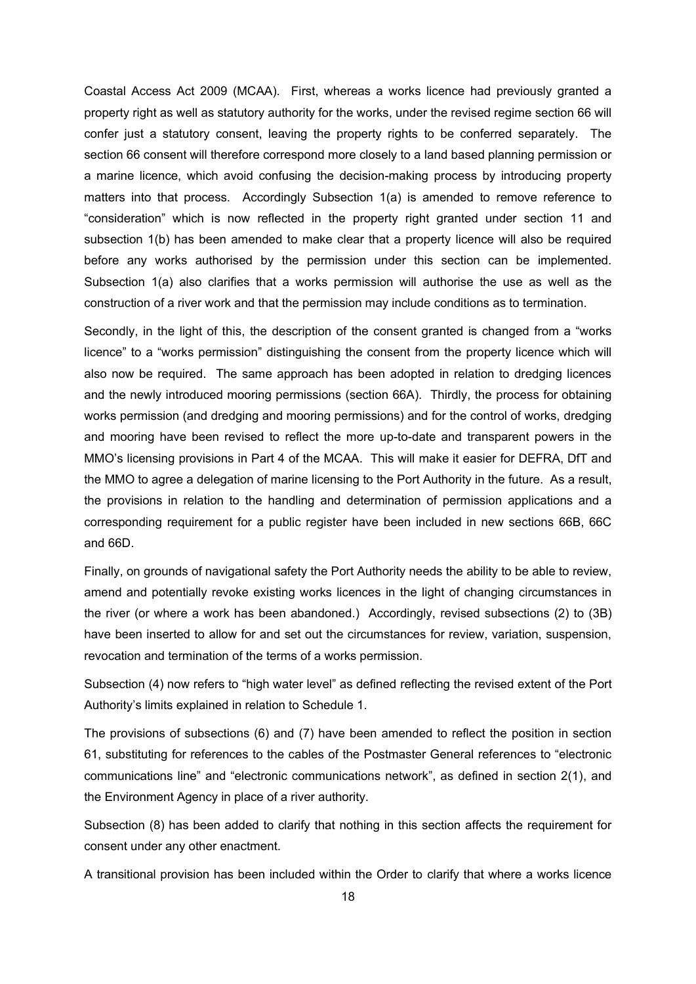Coastal Access Act 2009 (MCAA). First, whereas a works licence had previously granted a property right as well as statutory authority for the works, under the revised regime section 66 will confer just a statutory consent, leaving the property rights to be conferred separately. The section 66 consent will therefore correspond more closely to a land based planning permission or a marine licence, which avoid confusing the decision-making process by introducing property matters into that process. Accordingly Subsection 1(a) is amended to remove reference to "consideration" which is now reflected in the property right granted under section 11 and subsection 1(b) has been amended to make clear that a property licence will also be required before any works authorised by the permission under this section can be implemented. Subsection 1(a) also clarifies that a works permission will authorise the use as well as the construction of a river work and that the permission may include conditions as to termination.

Secondly, in the light of this, the description of the consent granted is changed from a "works licence" to a "works permission" distinguishing the consent from the property licence which will also now be required. The same approach has been adopted in relation to dredging licences and the newly introduced mooring permissions (section 66A). Thirdly, the process for obtaining works permission (and dredging and mooring permissions) and for the control of works, dredging and mooring have been revised to reflect the more up-to-date and transparent powers in the MMO's licensing provisions in Part 4 of the MCAA. This will make it easier for DEFRA, DfT and the MMO to agree a delegation of marine licensing to the Port Authority in the future. As a result, the provisions in relation to the handling and determination of permission applications and a corresponding requirement for a public register have been included in new sections 66B, 66C and 66D.

Finally, on grounds of navigational safety the Port Authority needs the ability to be able to review, amend and potentially revoke existing works licences in the light of changing circumstances in the river (or where a work has been abandoned.) Accordingly, revised subsections (2) to (3B) have been inserted to allow for and set out the circumstances for review, variation, suspension, revocation and termination of the terms of a works permission.

Subsection (4) now refers to "high water level" as defined reflecting the revised extent of the Port Authority's limits explained in relation to Schedule 1.

The provisions of subsections (6) and (7) have been amended to reflect the position in section 61, substituting for references to the cables of the Postmaster General references to "electronic communications line" and "electronic communications network", as defined in section 2(1), and the Environment Agency in place of a river authority.

Subsection (8) has been added to clarify that nothing in this section affects the requirement for consent under any other enactment.

A transitional provision has been included within the Order to clarify that where a works licence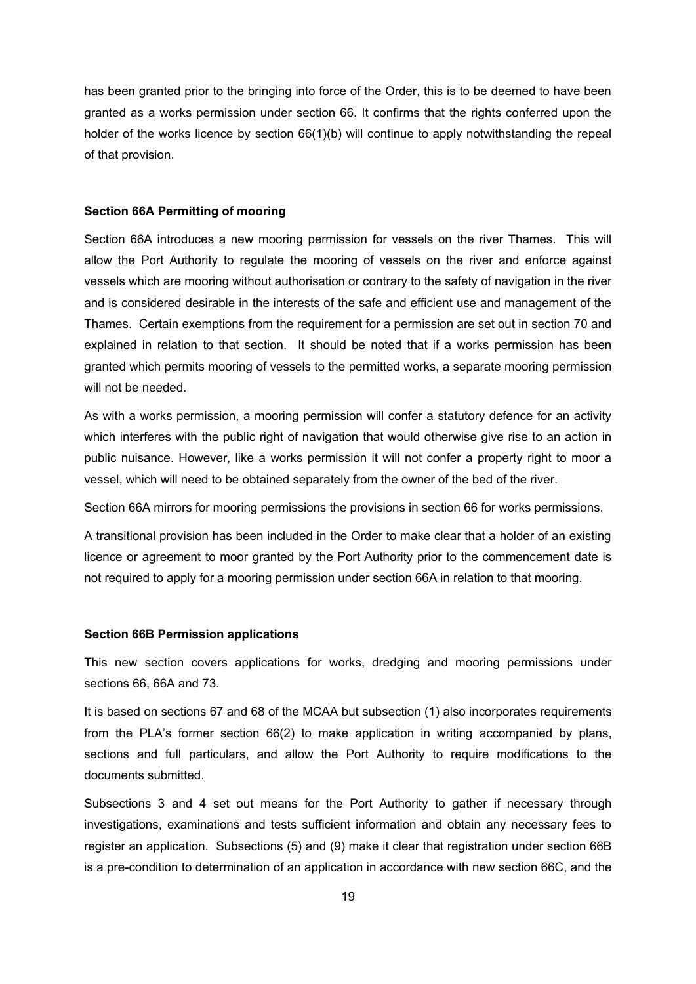has been granted prior to the bringing into force of the Order, this is to be deemed to have been granted as a works permission under section 66. It confirms that the rights conferred upon the holder of the works licence by section 66(1)(b) will continue to apply notwithstanding the repeal of that provision.

## **Section 66A Permitting of mooring**

Section 66A introduces a new mooring permission for vessels on the river Thames. This will allow the Port Authority to regulate the mooring of vessels on the river and enforce against vessels which are mooring without authorisation or contrary to the safety of navigation in the river and is considered desirable in the interests of the safe and efficient use and management of the Thames. Certain exemptions from the requirement for a permission are set out in section 70 and explained in relation to that section. It should be noted that if a works permission has been granted which permits mooring of vessels to the permitted works, a separate mooring permission will not be needed.

As with a works permission, a mooring permission will confer a statutory defence for an activity which interferes with the public right of navigation that would otherwise give rise to an action in public nuisance. However, like a works permission it will not confer a property right to moor a vessel, which will need to be obtained separately from the owner of the bed of the river.

Section 66A mirrors for mooring permissions the provisions in section 66 for works permissions.

A transitional provision has been included in the Order to make clear that a holder of an existing licence or agreement to moor granted by the Port Authority prior to the commencement date is not required to apply for a mooring permission under section 66A in relation to that mooring.

### **Section 66B Permission applications**

This new section covers applications for works, dredging and mooring permissions under sections 66, 66A and 73.

It is based on sections 67 and 68 of the MCAA but subsection (1) also incorporates requirements from the PLA's former section 66(2) to make application in writing accompanied by plans, sections and full particulars, and allow the Port Authority to require modifications to the documents submitted.

Subsections 3 and 4 set out means for the Port Authority to gather if necessary through investigations, examinations and tests sufficient information and obtain any necessary fees to register an application. Subsections (5) and (9) make it clear that registration under section 66B is a pre-condition to determination of an application in accordance with new section 66C, and the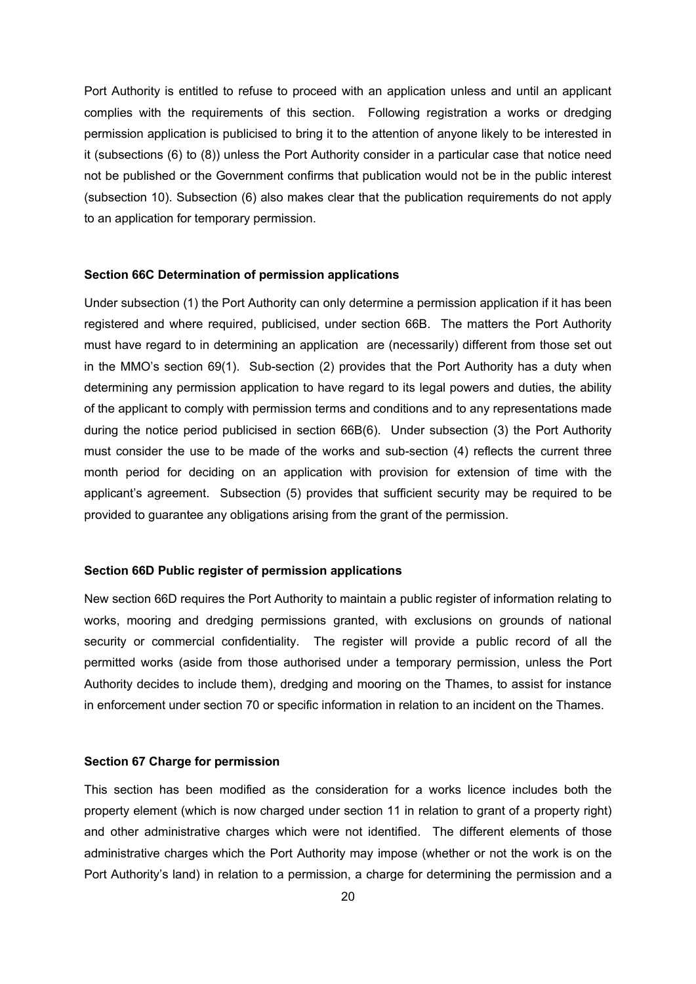Port Authority is entitled to refuse to proceed with an application unless and until an applicant complies with the requirements of this section. Following registration a works or dredging permission application is publicised to bring it to the attention of anyone likely to be interested in it (subsections (6) to (8)) unless the Port Authority consider in a particular case that notice need not be published or the Government confirms that publication would not be in the public interest (subsection 10). Subsection (6) also makes clear that the publication requirements do not apply to an application for temporary permission.

### **Section 66C Determination of permission applications**

Under subsection (1) the Port Authority can only determine a permission application if it has been registered and where required, publicised, under section 66B. The matters the Port Authority must have regard to in determining an application are (necessarily) different from those set out in the MMO's section 69(1). Sub-section (2) provides that the Port Authority has a duty when determining any permission application to have regard to its legal powers and duties, the ability of the applicant to comply with permission terms and conditions and to any representations made during the notice period publicised in section 66B(6). Under subsection (3) the Port Authority must consider the use to be made of the works and sub-section (4) reflects the current three month period for deciding on an application with provision for extension of time with the applicant's agreement. Subsection (5) provides that sufficient security may be required to be provided to guarantee any obligations arising from the grant of the permission.

### **Section 66D Public register of permission applications**

New section 66D requires the Port Authority to maintain a public register of information relating to works, mooring and dredging permissions granted, with exclusions on grounds of national security or commercial confidentiality. The register will provide a public record of all the permitted works (aside from those authorised under a temporary permission, unless the Port Authority decides to include them), dredging and mooring on the Thames, to assist for instance in enforcement under section 70 or specific information in relation to an incident on the Thames.

## **Section 67 Charge for permission**

This section has been modified as the consideration for a works licence includes both the property element (which is now charged under section 11 in relation to grant of a property right) and other administrative charges which were not identified. The different elements of those administrative charges which the Port Authority may impose (whether or not the work is on the Port Authority's land) in relation to a permission, a charge for determining the permission and a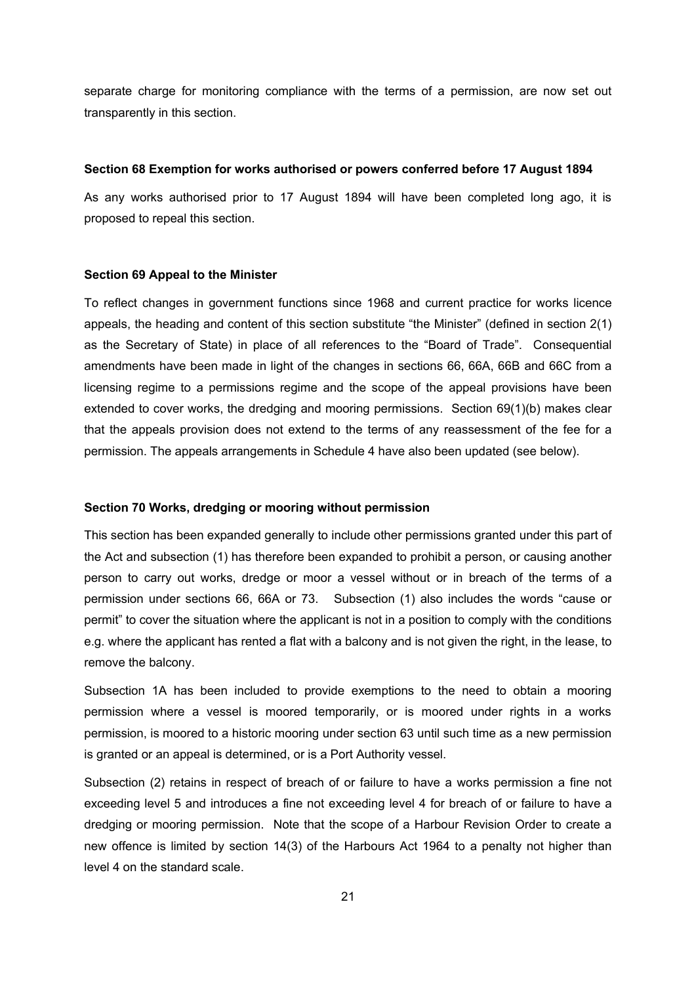separate charge for monitoring compliance with the terms of a permission, are now set out transparently in this section.

#### **Section 68 Exemption for works authorised or powers conferred before 17 August 1894**

As any works authorised prior to 17 August 1894 will have been completed long ago, it is proposed to repeal this section.

#### **Section 69 Appeal to the Minister**

To reflect changes in government functions since 1968 and current practice for works licence appeals, the heading and content of this section substitute "the Minister" (defined in section 2(1) as the Secretary of State) in place of all references to the "Board of Trade". Consequential amendments have been made in light of the changes in sections 66, 66A, 66B and 66C from a licensing regime to a permissions regime and the scope of the appeal provisions have been extended to cover works, the dredging and mooring permissions. Section 69(1)(b) makes clear that the appeals provision does not extend to the terms of any reassessment of the fee for a permission. The appeals arrangements in Schedule 4 have also been updated (see below).

### **Section 70 Works, dredging or mooring without permission**

This section has been expanded generally to include other permissions granted under this part of the Act and subsection (1) has therefore been expanded to prohibit a person, or causing another person to carry out works, dredge or moor a vessel without or in breach of the terms of a permission under sections 66, 66A or 73. Subsection (1) also includes the words "cause or permit" to cover the situation where the applicant is not in a position to comply with the conditions e.g. where the applicant has rented a flat with a balcony and is not given the right, in the lease, to remove the balcony.

Subsection 1A has been included to provide exemptions to the need to obtain a mooring permission where a vessel is moored temporarily, or is moored under rights in a works permission, is moored to a historic mooring under section 63 until such time as a new permission is granted or an appeal is determined, or is a Port Authority vessel.

Subsection (2) retains in respect of breach of or failure to have a works permission a fine not exceeding level 5 and introduces a fine not exceeding level 4 for breach of or failure to have a dredging or mooring permission. Note that the scope of a Harbour Revision Order to create a new offence is limited by section 14(3) of the Harbours Act 1964 to a penalty not higher than level 4 on the standard scale.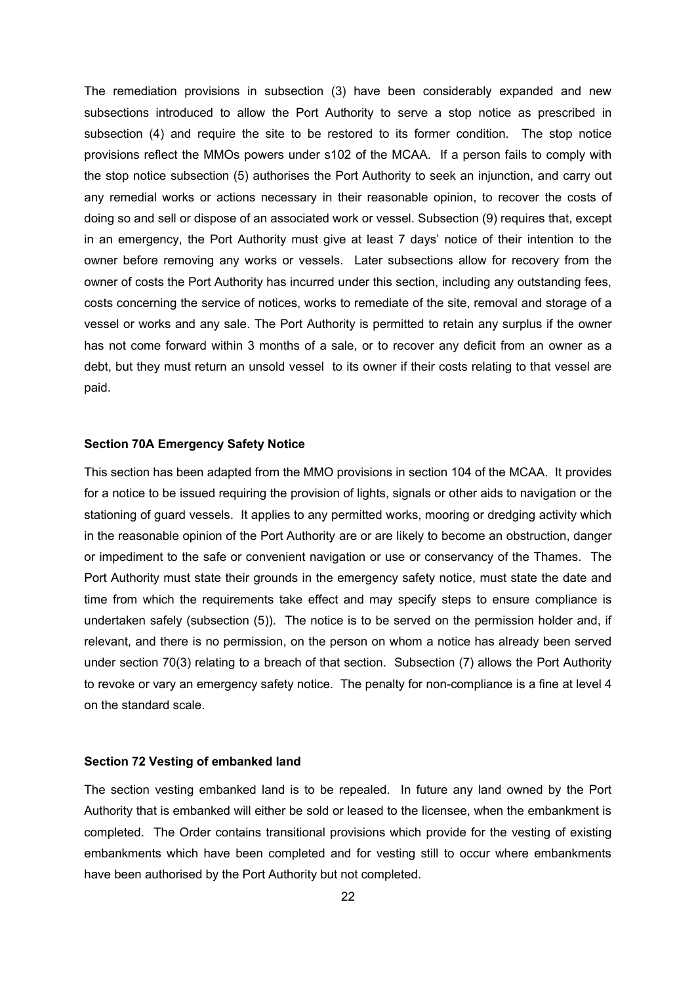The remediation provisions in subsection (3) have been considerably expanded and new subsections introduced to allow the Port Authority to serve a stop notice as prescribed in subsection (4) and require the site to be restored to its former condition. The stop notice provisions reflect the MMOs powers under s102 of the MCAA. If a person fails to comply with the stop notice subsection (5) authorises the Port Authority to seek an injunction, and carry out any remedial works or actions necessary in their reasonable opinion, to recover the costs of doing so and sell or dispose of an associated work or vessel. Subsection (9) requires that, except in an emergency, the Port Authority must give at least 7 days' notice of their intention to the owner before removing any works or vessels. Later subsections allow for recovery from the owner of costs the Port Authority has incurred under this section, including any outstanding fees, costs concerning the service of notices, works to remediate of the site, removal and storage of a vessel or works and any sale. The Port Authority is permitted to retain any surplus if the owner has not come forward within 3 months of a sale, or to recover any deficit from an owner as a debt, but they must return an unsold vessel to its owner if their costs relating to that vessel are paid.

#### **Section 70A Emergency Safety Notice**

This section has been adapted from the MMO provisions in section 104 of the MCAA. It provides for a notice to be issued requiring the provision of lights, signals or other aids to navigation or the stationing of guard vessels. It applies to any permitted works, mooring or dredging activity which in the reasonable opinion of the Port Authority are or are likely to become an obstruction, danger or impediment to the safe or convenient navigation or use or conservancy of the Thames. The Port Authority must state their grounds in the emergency safety notice, must state the date and time from which the requirements take effect and may specify steps to ensure compliance is undertaken safely (subsection (5)). The notice is to be served on the permission holder and, if relevant, and there is no permission, on the person on whom a notice has already been served under section 70(3) relating to a breach of that section. Subsection (7) allows the Port Authority to revoke or vary an emergency safety notice. The penalty for non-compliance is a fine at level 4 on the standard scale.

## **Section 72 Vesting of embanked land**

The section vesting embanked land is to be repealed. In future any land owned by the Port Authority that is embanked will either be sold or leased to the licensee, when the embankment is completed. The Order contains transitional provisions which provide for the vesting of existing embankments which have been completed and for vesting still to occur where embankments have been authorised by the Port Authority but not completed.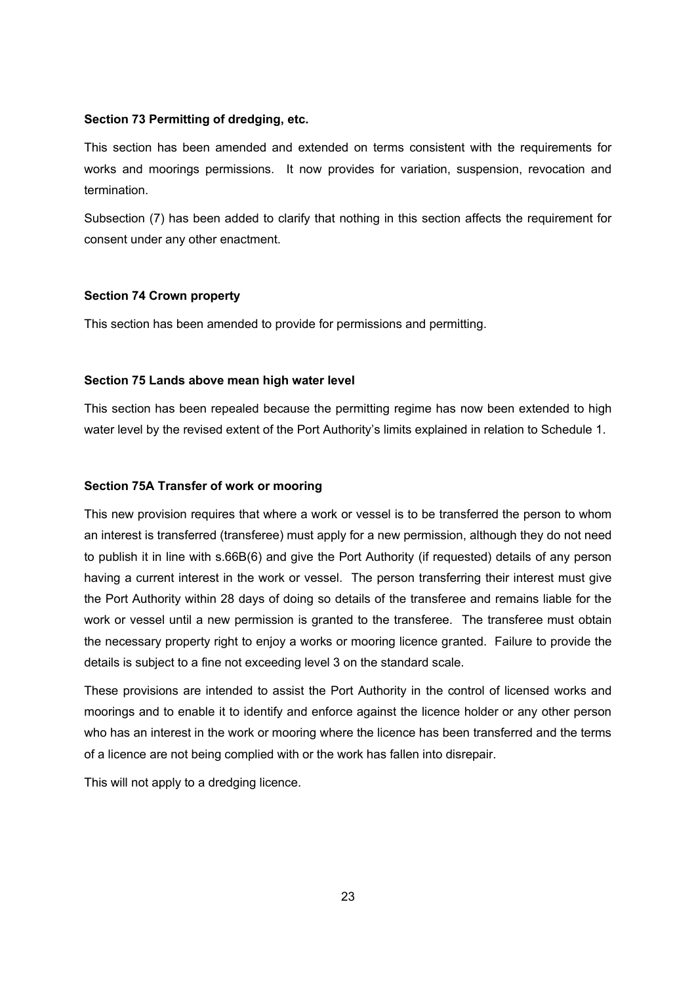### **Section 73 Permitting of dredging, etc.**

This section has been amended and extended on terms consistent with the requirements for works and moorings permissions. It now provides for variation, suspension, revocation and termination.

Subsection (7) has been added to clarify that nothing in this section affects the requirement for consent under any other enactment.

## **Section 74 Crown property**

This section has been amended to provide for permissions and permitting.

## **Section 75 Lands above mean high water level**

This section has been repealed because the permitting regime has now been extended to high water level by the revised extent of the Port Authority's limits explained in relation to Schedule 1.

## **Section 75A Transfer of work or mooring**

This new provision requires that where a work or vessel is to be transferred the person to whom an interest is transferred (transferee) must apply for a new permission, although they do not need to publish it in line with s.66B(6) and give the Port Authority (if requested) details of any person having a current interest in the work or vessel. The person transferring their interest must give the Port Authority within 28 days of doing so details of the transferee and remains liable for the work or vessel until a new permission is granted to the transferee. The transferee must obtain the necessary property right to enjoy a works or mooring licence granted. Failure to provide the details is subject to a fine not exceeding level 3 on the standard scale.

These provisions are intended to assist the Port Authority in the control of licensed works and moorings and to enable it to identify and enforce against the licence holder or any other person who has an interest in the work or mooring where the licence has been transferred and the terms of a licence are not being complied with or the work has fallen into disrepair.

This will not apply to a dredging licence.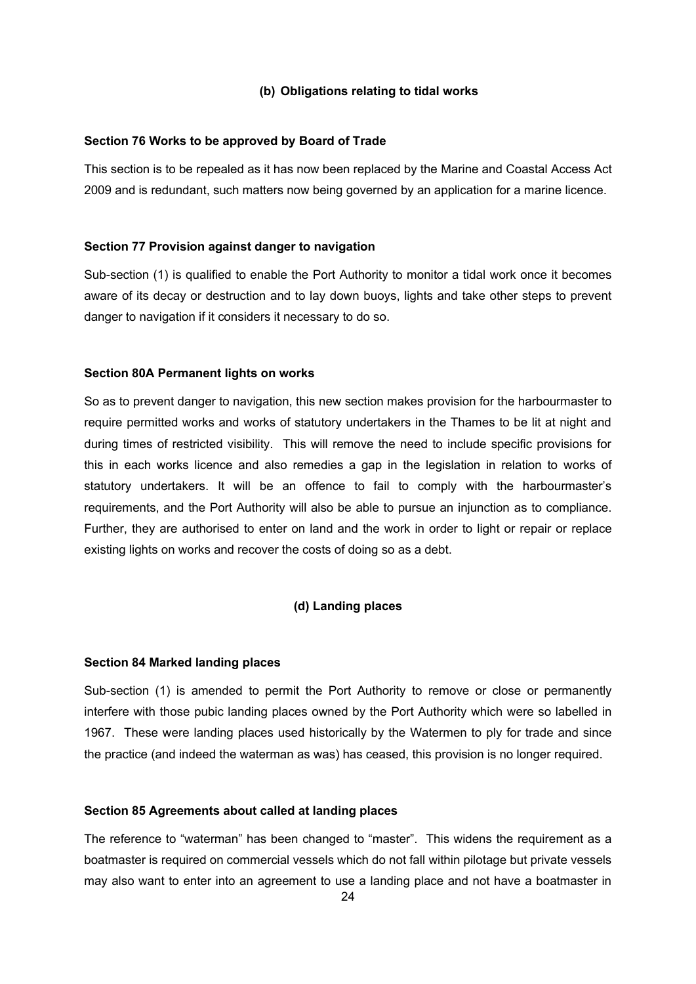## **(b) Obligations relating to tidal works**

### **Section 76 Works to be approved by Board of Trade**

This section is to be repealed as it has now been replaced by the Marine and Coastal Access Act 2009 and is redundant, such matters now being governed by an application for a marine licence.

## **Section 77 Provision against danger to navigation**

Sub-section (1) is qualified to enable the Port Authority to monitor a tidal work once it becomes aware of its decay or destruction and to lay down buoys, lights and take other steps to prevent danger to navigation if it considers it necessary to do so.

## **Section 80A Permanent lights on works**

So as to prevent danger to navigation, this new section makes provision for the harbourmaster to require permitted works and works of statutory undertakers in the Thames to be lit at night and during times of restricted visibility. This will remove the need to include specific provisions for this in each works licence and also remedies a gap in the legislation in relation to works of statutory undertakers. It will be an offence to fail to comply with the harbourmaster's requirements, and the Port Authority will also be able to pursue an injunction as to compliance. Further, they are authorised to enter on land and the work in order to light or repair or replace existing lights on works and recover the costs of doing so as a debt.

## **(d) Landing places**

### **Section 84 Marked landing places**

Sub-section (1) is amended to permit the Port Authority to remove or close or permanently interfere with those pubic landing places owned by the Port Authority which were so labelled in 1967. These were landing places used historically by the Watermen to ply for trade and since the practice (and indeed the waterman as was) has ceased, this provision is no longer required.

## **Section 85 Agreements about called at landing places**

The reference to "waterman" has been changed to "master". This widens the requirement as a boatmaster is required on commercial vessels which do not fall within pilotage but private vessels may also want to enter into an agreement to use a landing place and not have a boatmaster in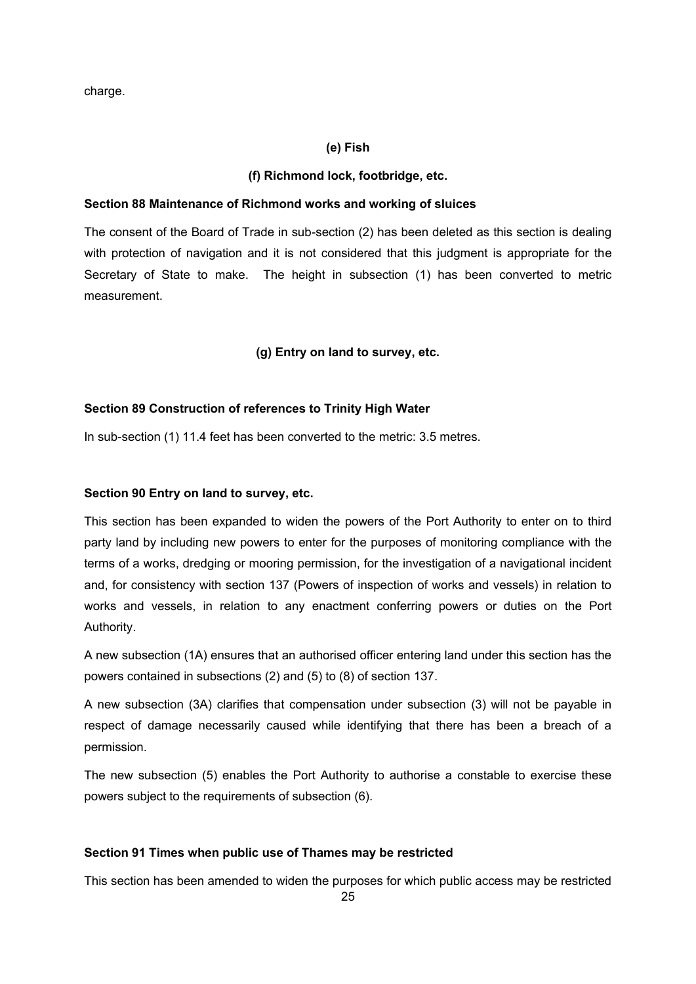charge.

## **(e) Fish**

## **(f) Richmond lock, footbridge, etc.**

### **Section 88 Maintenance of Richmond works and working of sluices**

The consent of the Board of Trade in sub-section (2) has been deleted as this section is dealing with protection of navigation and it is not considered that this judgment is appropriate for the Secretary of State to make. The height in subsection (1) has been converted to metric measurement.

## **(g) Entry on land to survey, etc.**

## **Section 89 Construction of references to Trinity High Water**

In sub-section (1) 11.4 feet has been converted to the metric: 3.5 metres.

## **Section 90 Entry on land to survey, etc.**

This section has been expanded to widen the powers of the Port Authority to enter on to third party land by including new powers to enter for the purposes of monitoring compliance with the terms of a works, dredging or mooring permission, for the investigation of a navigational incident and, for consistency with section 137 (Powers of inspection of works and vessels) in relation to works and vessels, in relation to any enactment conferring powers or duties on the Port Authority.

A new subsection (1A) ensures that an authorised officer entering land under this section has the powers contained in subsections (2) and (5) to (8) of section 137.

A new subsection (3A) clarifies that compensation under subsection (3) will not be payable in respect of damage necessarily caused while identifying that there has been a breach of a permission.

The new subsection (5) enables the Port Authority to authorise a constable to exercise these powers subject to the requirements of subsection (6).

## **Section 91 Times when public use of Thames may be restricted**

This section has been amended to widen the purposes for which public access may be restricted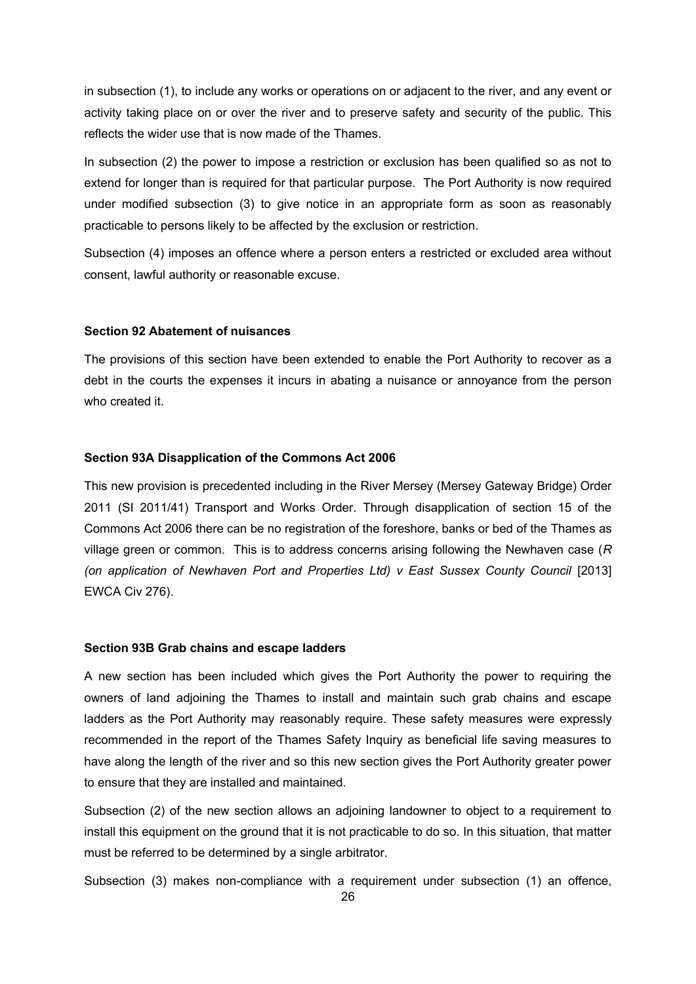in subsection (1), to include any works or operations on or adjacent to the river, and any event or activity taking place on or over the river and to preserve safety and security of the public. This reflects the wider use that is now made of the Thames.

In subsection (2) the power to impose a restriction or exclusion has been qualified so as not to extend for longer than is required for that particular purpose. The Port Authority is now required under modified subsection (3) to give notice in an appropriate form as soon as reasonably practicable to persons likely to be affected by the exclusion or restriction.

Subsection (4) imposes an offence where a person enters a restricted or excluded area without consent, lawful authority or reasonable excuse.

### **Section 92 Abatement of nuisances**

The provisions of this section have been extended to enable the Port Authority to recover as a debt in the courts the expenses it incurs in abating a nuisance or annoyance from the person who created it.

#### **Section 93A Disapplication of the Commons Act 2006**

This new provision is precedented including in the River Mersey (Mersey Gateway Bridge) Order 2011 (SI 2011/41) Transport and Works Order. Through disapplication of section 15 of the Commons Act 2006 there can be no registration of the foreshore, banks or bed of the Thames as village green or common. This is to address concerns arising following the Newhaven case (*R (on application of Newhaven Port and Properties Ltd) v East Sussex County Council* [2013] EWCA Civ 276).

#### **Section 93B Grab chains and escape ladders**

A new section has been included which gives the Port Authority the power to requiring the owners of land adjoining the Thames to install and maintain such grab chains and escape ladders as the Port Authority may reasonably require. These safety measures were expressly recommended in the report of the Thames Safety Inquiry as beneficial life saving measures to have along the length of the river and so this new section gives the Port Authority greater power to ensure that they are installed and maintained.

Subsection (2) of the new section allows an adjoining landowner to object to a requirement to install this equipment on the ground that it is not practicable to do so. In this situation, that matter must be referred to be determined by a single arbitrator.

Subsection (3) makes non-compliance with a requirement under subsection (1) an offence,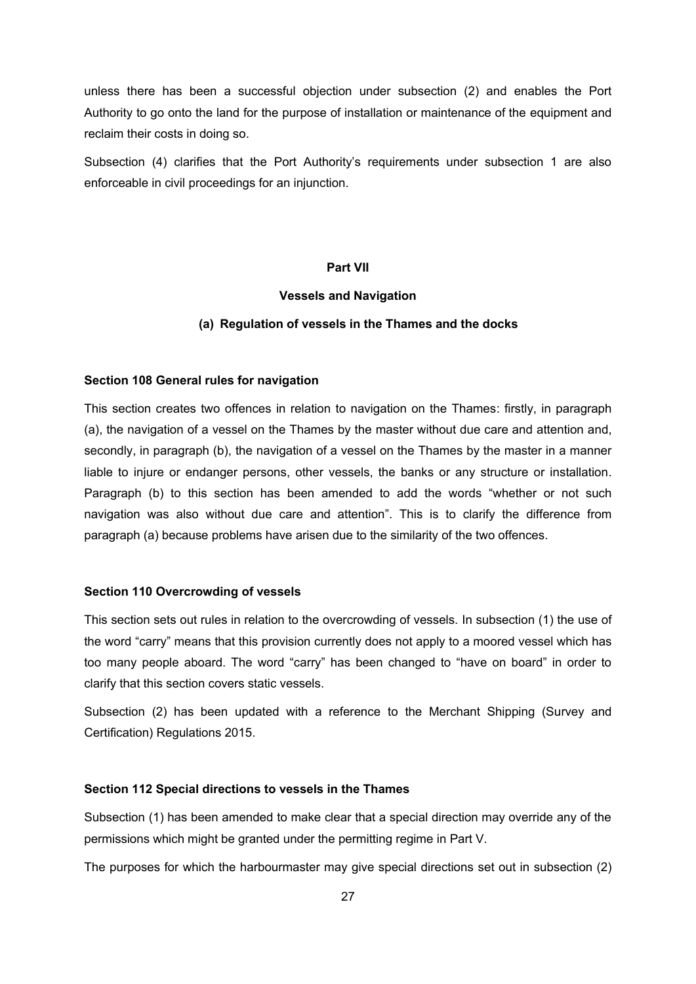unless there has been a successful objection under subsection (2) and enables the Port Authority to go onto the land for the purpose of installation or maintenance of the equipment and reclaim their costs in doing so.

Subsection (4) clarifies that the Port Authority's requirements under subsection 1 are also enforceable in civil proceedings for an injunction.

## **Part VII**

### **Vessels and Navigation**

#### **(a) Regulation of vessels in the Thames and the docks**

#### **Section 108 General rules for navigation**

This section creates two offences in relation to navigation on the Thames: firstly, in paragraph (a), the navigation of a vessel on the Thames by the master without due care and attention and, secondly, in paragraph (b), the navigation of a vessel on the Thames by the master in a manner liable to injure or endanger persons, other vessels, the banks or any structure or installation. Paragraph (b) to this section has been amended to add the words "whether or not such navigation was also without due care and attention". This is to clarify the difference from paragraph (a) because problems have arisen due to the similarity of the two offences.

#### **Section 110 Overcrowding of vessels**

This section sets out rules in relation to the overcrowding of vessels. In subsection (1) the use of the word "carry" means that this provision currently does not apply to a moored vessel which has too many people aboard. The word "carry" has been changed to "have on board" in order to clarify that this section covers static vessels.

Subsection (2) has been updated with a reference to the Merchant Shipping (Survey and Certification) Regulations 2015.

#### **Section 112 Special directions to vessels in the Thames**

Subsection (1) has been amended to make clear that a special direction may override any of the permissions which might be granted under the permitting regime in Part V.

The purposes for which the harbourmaster may give special directions set out in subsection (2)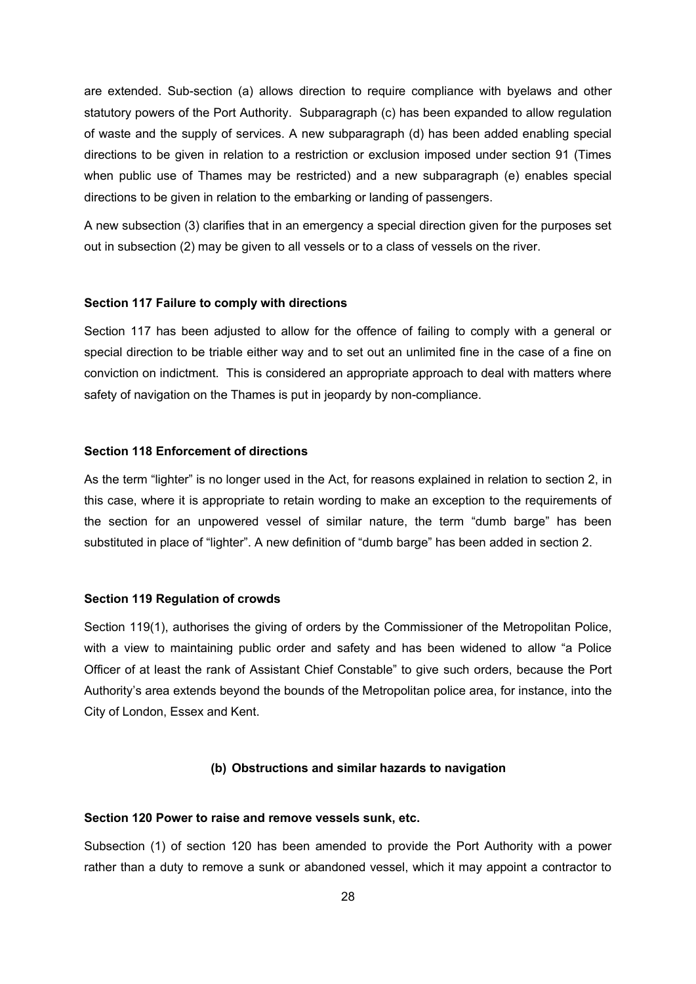are extended. Sub-section (a) allows direction to require compliance with byelaws and other statutory powers of the Port Authority. Subparagraph (c) has been expanded to allow regulation of waste and the supply of services. A new subparagraph (d) has been added enabling special directions to be given in relation to a restriction or exclusion imposed under section 91 (Times when public use of Thames may be restricted) and a new subparagraph (e) enables special directions to be given in relation to the embarking or landing of passengers.

A new subsection (3) clarifies that in an emergency a special direction given for the purposes set out in subsection (2) may be given to all vessels or to a class of vessels on the river.

#### **Section 117 Failure to comply with directions**

Section 117 has been adjusted to allow for the offence of failing to comply with a general or special direction to be triable either way and to set out an unlimited fine in the case of a fine on conviction on indictment. This is considered an appropriate approach to deal with matters where safety of navigation on the Thames is put in jeopardy by non-compliance.

#### **Section 118 Enforcement of directions**

As the term "lighter" is no longer used in the Act, for reasons explained in relation to section 2, in this case, where it is appropriate to retain wording to make an exception to the requirements of the section for an unpowered vessel of similar nature, the term "dumb barge" has been substituted in place of "lighter". A new definition of "dumb barge" has been added in section 2.

#### **Section 119 Regulation of crowds**

Section 119(1), authorises the giving of orders by the Commissioner of the Metropolitan Police, with a view to maintaining public order and safety and has been widened to allow "a Police Officer of at least the rank of Assistant Chief Constable" to give such orders, because the Port Authority's area extends beyond the bounds of the Metropolitan police area, for instance, into the City of London, Essex and Kent.

#### **(b) Obstructions and similar hazards to navigation**

## **Section 120 Power to raise and remove vessels sunk, etc.**

Subsection (1) of section 120 has been amended to provide the Port Authority with a power rather than a duty to remove a sunk or abandoned vessel, which it may appoint a contractor to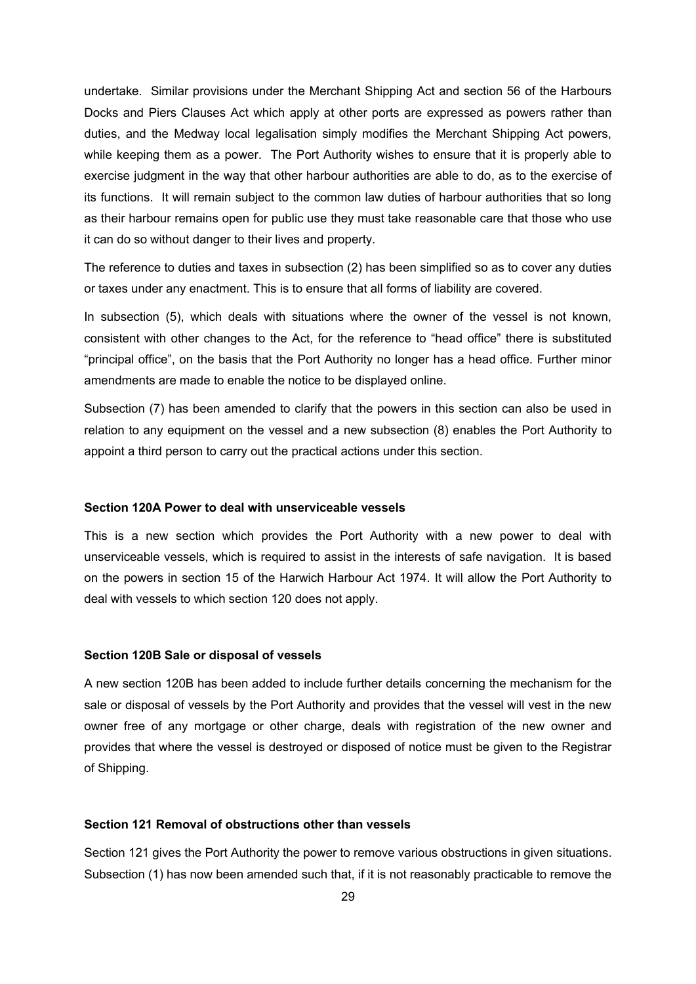undertake. Similar provisions under the Merchant Shipping Act and section 56 of the Harbours Docks and Piers Clauses Act which apply at other ports are expressed as powers rather than duties, and the Medway local legalisation simply modifies the Merchant Shipping Act powers, while keeping them as a power. The Port Authority wishes to ensure that it is properly able to exercise judgment in the way that other harbour authorities are able to do, as to the exercise of its functions. It will remain subject to the common law duties of harbour authorities that so long as their harbour remains open for public use they must take reasonable care that those who use it can do so without danger to their lives and property.

The reference to duties and taxes in subsection (2) has been simplified so as to cover any duties or taxes under any enactment. This is to ensure that all forms of liability are covered.

In subsection (5), which deals with situations where the owner of the vessel is not known, consistent with other changes to the Act, for the reference to "head office" there is substituted "principal office", on the basis that the Port Authority no longer has a head office. Further minor amendments are made to enable the notice to be displayed online.

Subsection (7) has been amended to clarify that the powers in this section can also be used in relation to any equipment on the vessel and a new subsection (8) enables the Port Authority to appoint a third person to carry out the practical actions under this section.

## **Section 120A Power to deal with unserviceable vessels**

This is a new section which provides the Port Authority with a new power to deal with unserviceable vessels, which is required to assist in the interests of safe navigation. It is based on the powers in section 15 of the Harwich Harbour Act 1974. It will allow the Port Authority to deal with vessels to which section 120 does not apply.

#### **Section 120B Sale or disposal of vessels**

A new section 120B has been added to include further details concerning the mechanism for the sale or disposal of vessels by the Port Authority and provides that the vessel will vest in the new owner free of any mortgage or other charge, deals with registration of the new owner and provides that where the vessel is destroyed or disposed of notice must be given to the Registrar of Shipping.

## **Section 121 Removal of obstructions other than vessels**

Section 121 gives the Port Authority the power to remove various obstructions in given situations. Subsection (1) has now been amended such that, if it is not reasonably practicable to remove the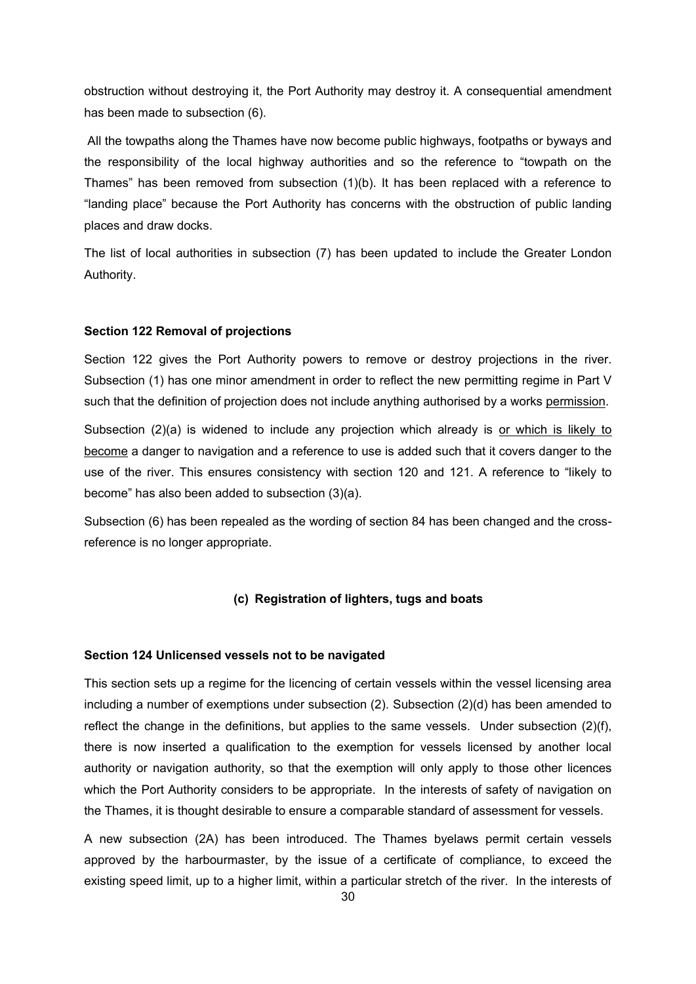obstruction without destroying it, the Port Authority may destroy it. A consequential amendment has been made to subsection (6).

All the towpaths along the Thames have now become public highways, footpaths or byways and the responsibility of the local highway authorities and so the reference to "towpath on the Thames" has been removed from subsection (1)(b). It has been replaced with a reference to "landing place" because the Port Authority has concerns with the obstruction of public landing places and draw docks.

The list of local authorities in subsection (7) has been updated to include the Greater London Authority.

### **Section 122 Removal of projections**

Section 122 gives the Port Authority powers to remove or destroy projections in the river. Subsection (1) has one minor amendment in order to reflect the new permitting regime in Part V such that the definition of projection does not include anything authorised by a works permission.

Subsection (2)(a) is widened to include any projection which already is or which is likely to become a danger to navigation and a reference to use is added such that it covers danger to the use of the river. This ensures consistency with section 120 and 121. A reference to "likely to become" has also been added to subsection (3)(a).

Subsection (6) has been repealed as the wording of section 84 has been changed and the crossreference is no longer appropriate.

## **(c) Registration of lighters, tugs and boats**

#### **Section 124 Unlicensed vessels not to be navigated**

This section sets up a regime for the licencing of certain vessels within the vessel licensing area including a number of exemptions under subsection (2). Subsection (2)(d) has been amended to reflect the change in the definitions, but applies to the same vessels. Under subsection (2)(f), there is now inserted a qualification to the exemption for vessels licensed by another local authority or navigation authority, so that the exemption will only apply to those other licences which the Port Authority considers to be appropriate. In the interests of safety of navigation on the Thames, it is thought desirable to ensure a comparable standard of assessment for vessels.

A new subsection (2A) has been introduced. The Thames byelaws permit certain vessels approved by the harbourmaster, by the issue of a certificate of compliance, to exceed the existing speed limit, up to a higher limit, within a particular stretch of the river. In the interests of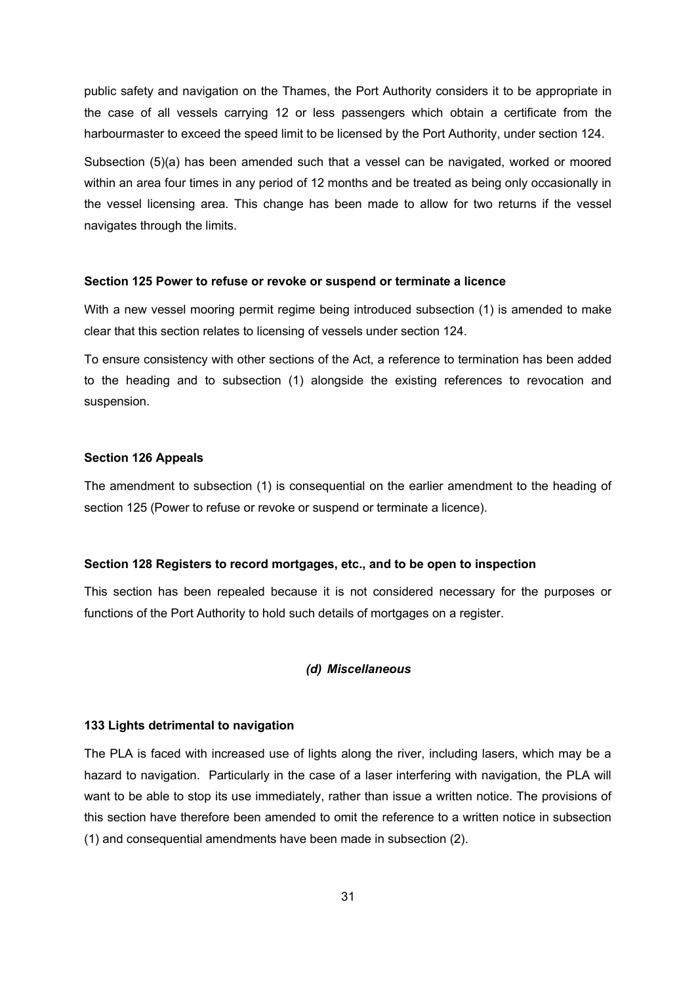public safety and navigation on the Thames, the Port Authority considers it to be appropriate in the case of all vessels carrying 12 or less passengers which obtain a certificate from the harbourmaster to exceed the speed limit to be licensed by the Port Authority, under section 124.

Subsection (5)(a) has been amended such that a vessel can be navigated, worked or moored within an area four times in any period of 12 months and be treated as being only occasionally in the vessel licensing area. This change has been made to allow for two returns if the vessel navigates through the limits.

#### **Section 125 Power to refuse or revoke or suspend or terminate a licence**

With a new vessel mooring permit regime being introduced subsection (1) is amended to make clear that this section relates to licensing of vessels under section 124.

To ensure consistency with other sections of the Act, a reference to termination has been added to the heading and to subsection (1) alongside the existing references to revocation and suspension.

#### **Section 126 Appeals**

The amendment to subsection (1) is consequential on the earlier amendment to the heading of section 125 (Power to refuse or revoke or suspend or terminate a licence).

#### **Section 128 Registers to record mortgages, etc., and to be open to inspection**

This section has been repealed because it is not considered necessary for the purposes or functions of the Port Authority to hold such details of mortgages on a register.

#### *(d) Miscellaneous*

### **133 Lights detrimental to navigation**

The PLA is faced with increased use of lights along the river, including lasers, which may be a hazard to navigation. Particularly in the case of a laser interfering with navigation, the PLA will want to be able to stop its use immediately, rather than issue a written notice. The provisions of this section have therefore been amended to omit the reference to a written notice in subsection (1) and consequential amendments have been made in subsection (2).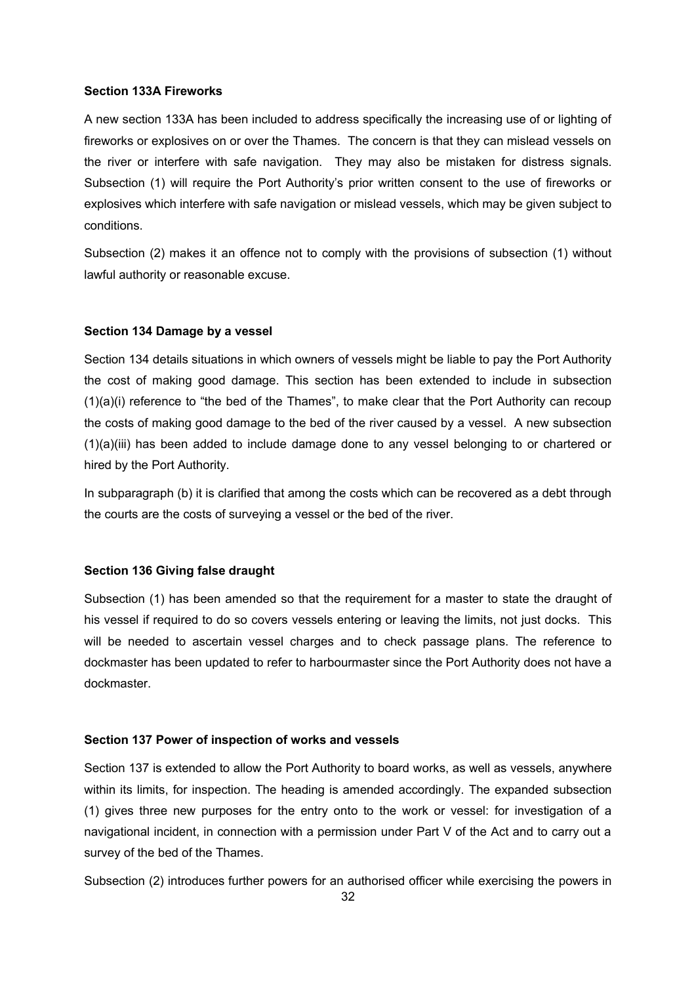### **Section 133A Fireworks**

A new section 133A has been included to address specifically the increasing use of or lighting of fireworks or explosives on or over the Thames. The concern is that they can mislead vessels on the river or interfere with safe navigation. They may also be mistaken for distress signals. Subsection (1) will require the Port Authority's prior written consent to the use of fireworks or explosives which interfere with safe navigation or mislead vessels, which may be given subject to conditions.

Subsection (2) makes it an offence not to comply with the provisions of subsection (1) without lawful authority or reasonable excuse.

#### **Section 134 Damage by a vessel**

Section 134 details situations in which owners of vessels might be liable to pay the Port Authority the cost of making good damage. This section has been extended to include in subsection (1)(a)(i) reference to "the bed of the Thames", to make clear that the Port Authority can recoup the costs of making good damage to the bed of the river caused by a vessel. A new subsection (1)(a)(iii) has been added to include damage done to any vessel belonging to or chartered or hired by the Port Authority.

In subparagraph (b) it is clarified that among the costs which can be recovered as a debt through the courts are the costs of surveying a vessel or the bed of the river.

## **Section 136 Giving false draught**

Subsection (1) has been amended so that the requirement for a master to state the draught of his vessel if required to do so covers vessels entering or leaving the limits, not just docks. This will be needed to ascertain vessel charges and to check passage plans. The reference to dockmaster has been updated to refer to harbourmaster since the Port Authority does not have a dockmaster.

#### **Section 137 Power of inspection of works and vessels**

Section 137 is extended to allow the Port Authority to board works, as well as vessels, anywhere within its limits, for inspection. The heading is amended accordingly. The expanded subsection (1) gives three new purposes for the entry onto to the work or vessel: for investigation of a navigational incident, in connection with a permission under Part V of the Act and to carry out a survey of the bed of the Thames.

Subsection (2) introduces further powers for an authorised officer while exercising the powers in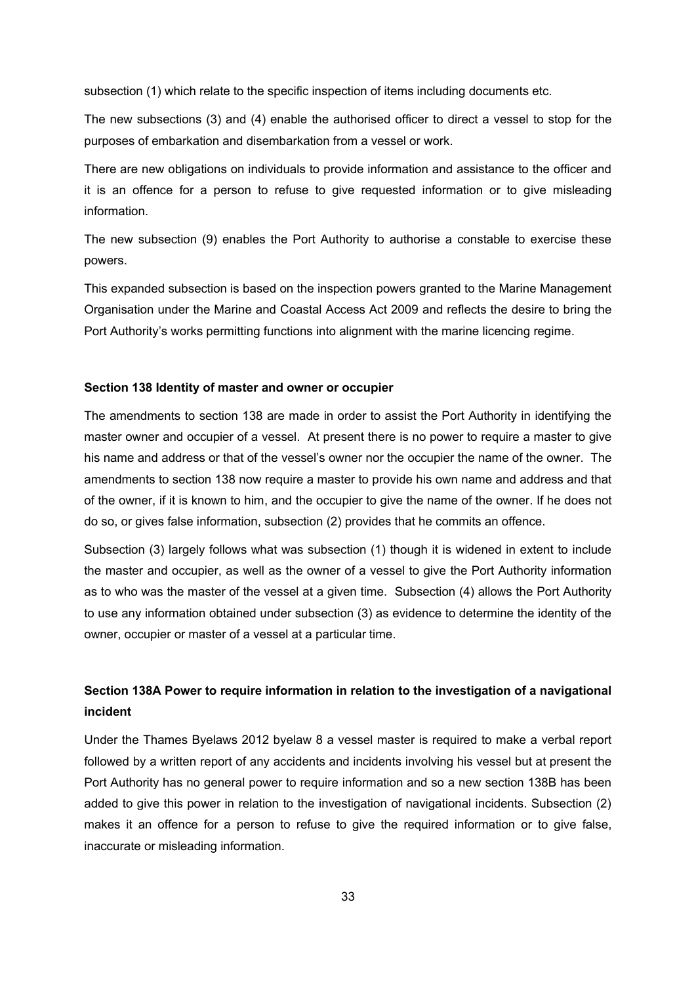subsection (1) which relate to the specific inspection of items including documents etc.

The new subsections (3) and (4) enable the authorised officer to direct a vessel to stop for the purposes of embarkation and disembarkation from a vessel or work.

There are new obligations on individuals to provide information and assistance to the officer and it is an offence for a person to refuse to give requested information or to give misleading information.

The new subsection (9) enables the Port Authority to authorise a constable to exercise these powers.

This expanded subsection is based on the inspection powers granted to the Marine Management Organisation under the Marine and Coastal Access Act 2009 and reflects the desire to bring the Port Authority's works permitting functions into alignment with the marine licencing regime.

#### **Section 138 Identity of master and owner or occupier**

The amendments to section 138 are made in order to assist the Port Authority in identifying the master owner and occupier of a vessel. At present there is no power to require a master to give his name and address or that of the vessel's owner nor the occupier the name of the owner. The amendments to section 138 now require a master to provide his own name and address and that of the owner, if it is known to him, and the occupier to give the name of the owner. If he does not do so, or gives false information, subsection (2) provides that he commits an offence.

Subsection (3) largely follows what was subsection (1) though it is widened in extent to include the master and occupier, as well as the owner of a vessel to give the Port Authority information as to who was the master of the vessel at a given time. Subsection (4) allows the Port Authority to use any information obtained under subsection (3) as evidence to determine the identity of the owner, occupier or master of a vessel at a particular time.

# **Section 138A Power to require information in relation to the investigation of a navigational incident**

Under the Thames Byelaws 2012 byelaw 8 a vessel master is required to make a verbal report followed by a written report of any accidents and incidents involving his vessel but at present the Port Authority has no general power to require information and so a new section 138B has been added to give this power in relation to the investigation of navigational incidents. Subsection (2) makes it an offence for a person to refuse to give the required information or to give false, inaccurate or misleading information.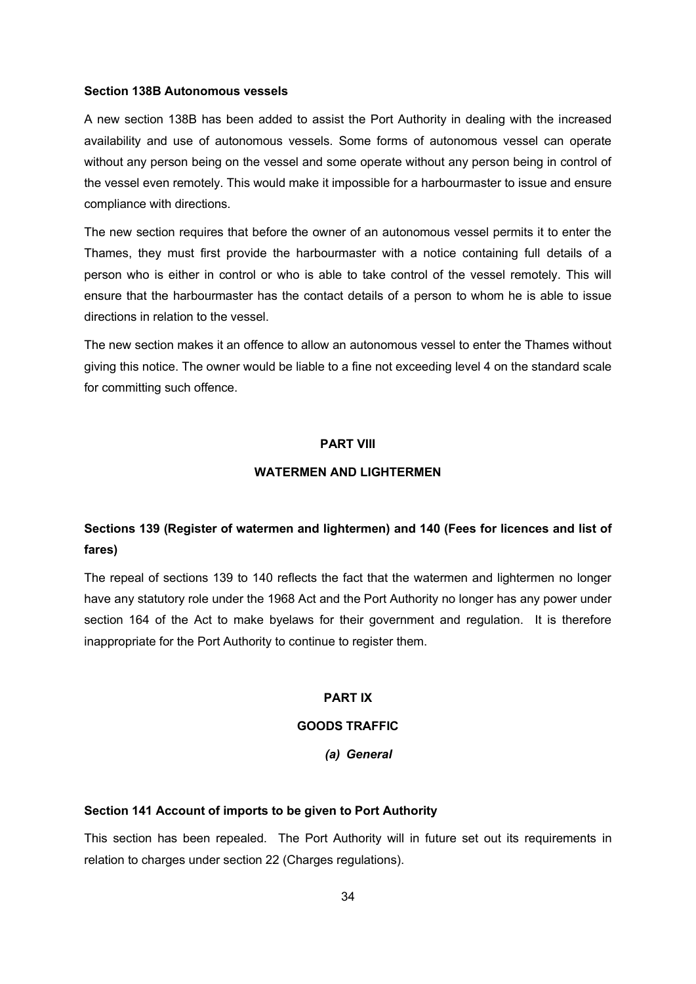#### **Section 138B Autonomous vessels**

A new section 138B has been added to assist the Port Authority in dealing with the increased availability and use of autonomous vessels. Some forms of autonomous vessel can operate without any person being on the vessel and some operate without any person being in control of the vessel even remotely. This would make it impossible for a harbourmaster to issue and ensure compliance with directions.

The new section requires that before the owner of an autonomous vessel permits it to enter the Thames, they must first provide the harbourmaster with a notice containing full details of a person who is either in control or who is able to take control of the vessel remotely. This will ensure that the harbourmaster has the contact details of a person to whom he is able to issue directions in relation to the vessel.

The new section makes it an offence to allow an autonomous vessel to enter the Thames without giving this notice. The owner would be liable to a fine not exceeding level 4 on the standard scale for committing such offence.

#### **PART VIII**

## **WATERMEN AND LIGHTERMEN**

# **Sections 139 (Register of watermen and lightermen) and 140 (Fees for licences and list of fares)**

The repeal of sections 139 to 140 reflects the fact that the watermen and lightermen no longer have any statutory role under the 1968 Act and the Port Authority no longer has any power under section 164 of the Act to make byelaws for their government and regulation. It is therefore inappropriate for the Port Authority to continue to register them.

## **PART IX**

## **GOODS TRAFFIC**

## *(a) General*

## **Section 141 Account of imports to be given to Port Authority**

This section has been repealed. The Port Authority will in future set out its requirements in relation to charges under section 22 (Charges regulations).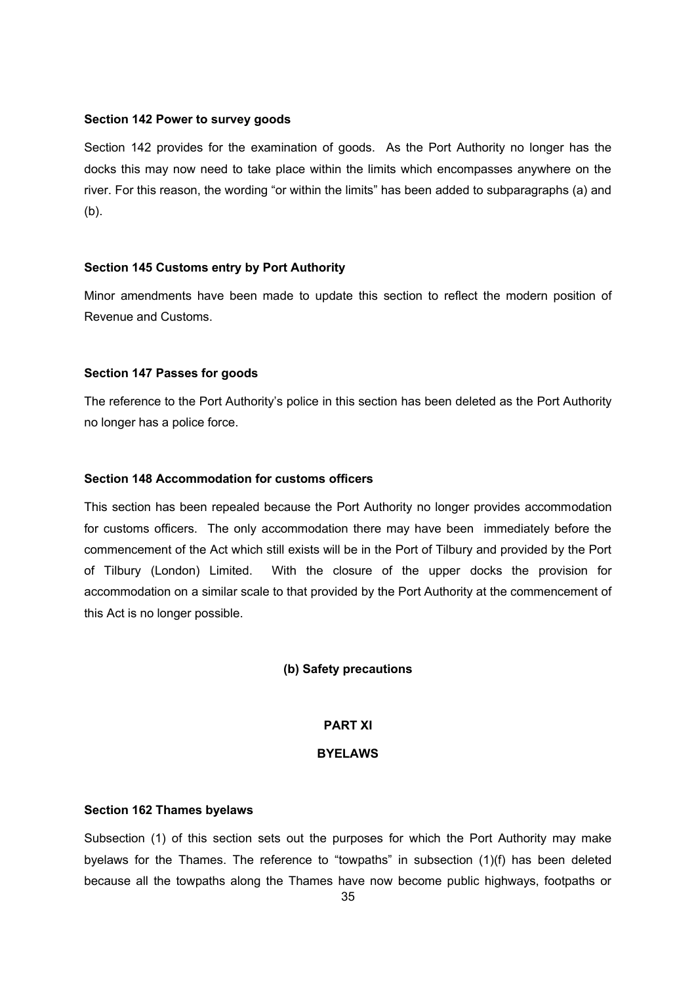#### **Section 142 Power to survey goods**

Section 142 provides for the examination of goods. As the Port Authority no longer has the docks this may now need to take place within the limits which encompasses anywhere on the river. For this reason, the wording "or within the limits" has been added to subparagraphs (a) and (b).

## **Section 145 Customs entry by Port Authority**

Minor amendments have been made to update this section to reflect the modern position of Revenue and Customs.

### **Section 147 Passes for goods**

The reference to the Port Authority's police in this section has been deleted as the Port Authority no longer has a police force.

## **Section 148 Accommodation for customs officers**

This section has been repealed because the Port Authority no longer provides accommodation for customs officers. The only accommodation there may have been immediately before the commencement of the Act which still exists will be in the Port of Tilbury and provided by the Port of Tilbury (London) Limited. With the closure of the upper docks the provision for accommodation on a similar scale to that provided by the Port Authority at the commencement of this Act is no longer possible.

#### **(b) Safety precautions**

## **PART XI**

## **BYELAWS**

## **Section 162 Thames byelaws**

Subsection (1) of this section sets out the purposes for which the Port Authority may make byelaws for the Thames. The reference to "towpaths" in subsection (1)(f) has been deleted because all the towpaths along the Thames have now become public highways, footpaths or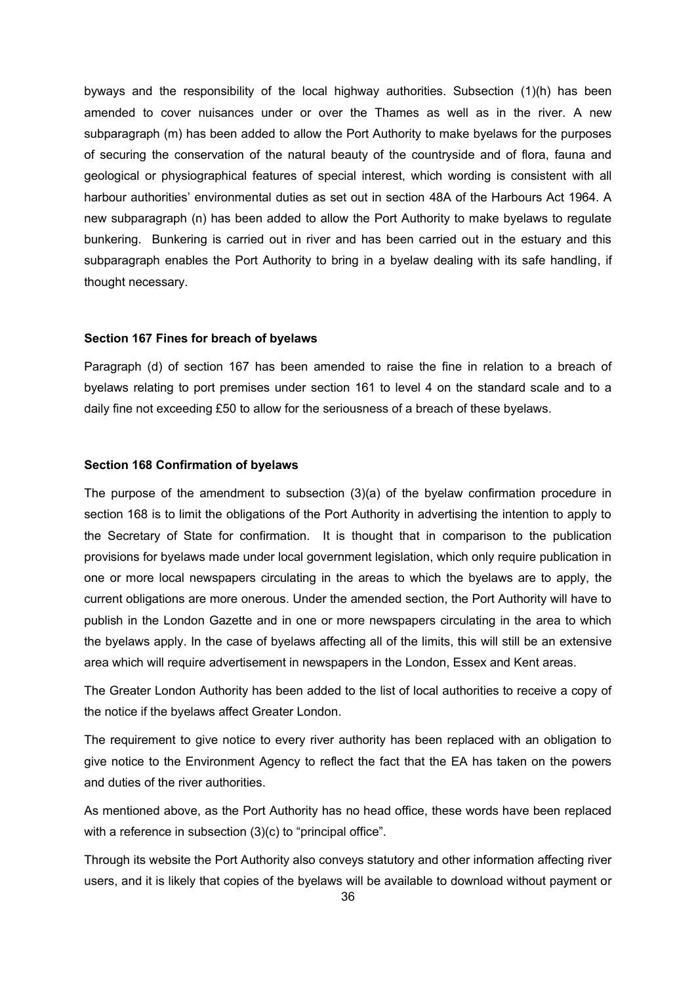byways and the responsibility of the local highway authorities. Subsection (1)(h) has been amended to cover nuisances under or over the Thames as well as in the river. A new subparagraph (m) has been added to allow the Port Authority to make byelaws for the purposes of securing the conservation of the natural beauty of the countryside and of flora, fauna and geological or physiographical features of special interest, which wording is consistent with all harbour authorities' environmental duties as set out in section 48A of the Harbours Act 1964. A new subparagraph (n) has been added to allow the Port Authority to make byelaws to regulate bunkering. Bunkering is carried out in river and has been carried out in the estuary and this subparagraph enables the Port Authority to bring in a byelaw dealing with its safe handling, if thought necessary.

## **Section 167 Fines for breach of byelaws**

Paragraph (d) of section 167 has been amended to raise the fine in relation to a breach of byelaws relating to port premises under section 161 to level 4 on the standard scale and to a daily fine not exceeding £50 to allow for the seriousness of a breach of these byelaws.

#### **Section 168 Confirmation of byelaws**

The purpose of the amendment to subsection (3)(a) of the byelaw confirmation procedure in section 168 is to limit the obligations of the Port Authority in advertising the intention to apply to the Secretary of State for confirmation. It is thought that in comparison to the publication provisions for byelaws made under local government legislation, which only require publication in one or more local newspapers circulating in the areas to which the byelaws are to apply, the current obligations are more onerous. Under the amended section, the Port Authority will have to publish in the London Gazette and in one or more newspapers circulating in the area to which the byelaws apply. In the case of byelaws affecting all of the limits, this will still be an extensive area which will require advertisement in newspapers in the London, Essex and Kent areas.

The Greater London Authority has been added to the list of local authorities to receive a copy of the notice if the byelaws affect Greater London.

The requirement to give notice to every river authority has been replaced with an obligation to give notice to the Environment Agency to reflect the fact that the EA has taken on the powers and duties of the river authorities.

As mentioned above, as the Port Authority has no head office, these words have been replaced with a reference in subsection (3)(c) to "principal office".

Through its website the Port Authority also conveys statutory and other information affecting river users, and it is likely that copies of the byelaws will be available to download without payment or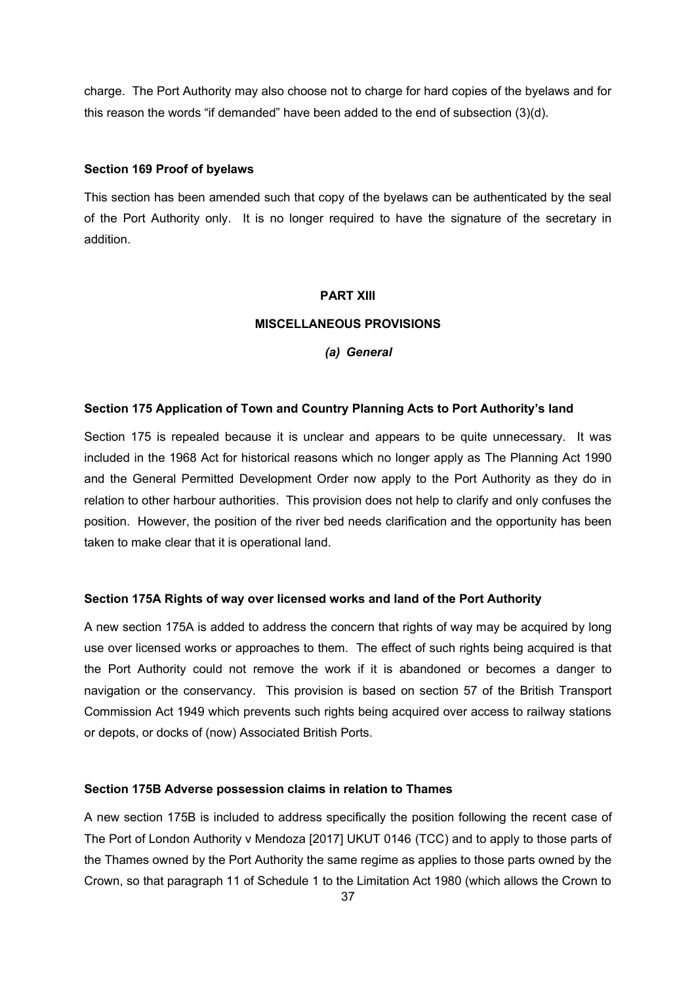charge. The Port Authority may also choose not to charge for hard copies of the byelaws and for this reason the words "if demanded" have been added to the end of subsection (3)(d).

#### **Section 169 Proof of byelaws**

This section has been amended such that copy of the byelaws can be authenticated by the seal of the Port Authority only. It is no longer required to have the signature of the secretary in addition.

### **PART XIII**

## **MISCELLANEOUS PROVISIONS**

*(a) General*

## **Section 175 Application of Town and Country Planning Acts to Port Authority's land**

Section 175 is repealed because it is unclear and appears to be quite unnecessary. It was included in the 1968 Act for historical reasons which no longer apply as The Planning Act 1990 and the General Permitted Development Order now apply to the Port Authority as they do in relation to other harbour authorities. This provision does not help to clarify and only confuses the position. However, the position of the river bed needs clarification and the opportunity has been taken to make clear that it is operational land.

#### **Section 175A Rights of way over licensed works and land of the Port Authority**

A new section 175A is added to address the concern that rights of way may be acquired by long use over licensed works or approaches to them. The effect of such rights being acquired is that the Port Authority could not remove the work if it is abandoned or becomes a danger to navigation or the conservancy. This provision is based on section 57 of the British Transport Commission Act 1949 which prevents such rights being acquired over access to railway stations or depots, or docks of (now) Associated British Ports.

### **Section 175B Adverse possession claims in relation to Thames**

A new section 175B is included to address specifically the position following the recent case of The Port of London Authority v Mendoza [2017] UKUT 0146 (TCC) and to apply to those parts of the Thames owned by the Port Authority the same regime as applies to those parts owned by the Crown, so that paragraph 11 of Schedule 1 to the Limitation Act 1980 (which allows the Crown to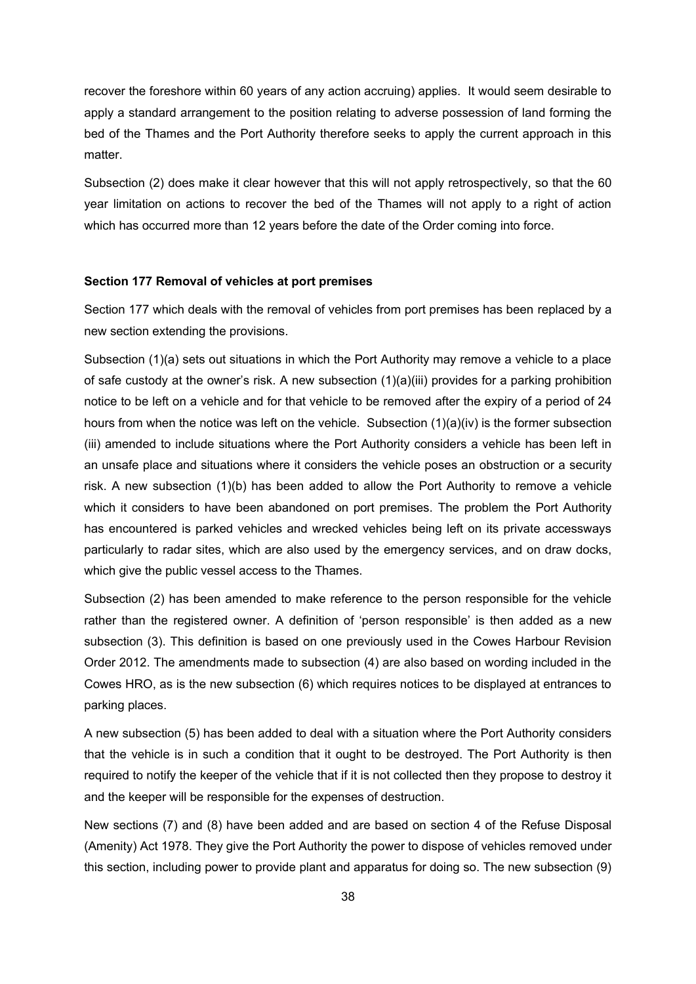recover the foreshore within 60 years of any action accruing) applies. It would seem desirable to apply a standard arrangement to the position relating to adverse possession of land forming the bed of the Thames and the Port Authority therefore seeks to apply the current approach in this matter.

Subsection (2) does make it clear however that this will not apply retrospectively, so that the 60 year limitation on actions to recover the bed of the Thames will not apply to a right of action which has occurred more than 12 years before the date of the Order coming into force.

### **Section 177 Removal of vehicles at port premises**

Section 177 which deals with the removal of vehicles from port premises has been replaced by a new section extending the provisions.

Subsection (1)(a) sets out situations in which the Port Authority may remove a vehicle to a place of safe custody at the owner's risk. A new subsection  $(1)(a)(iii)$  provides for a parking prohibition notice to be left on a vehicle and for that vehicle to be removed after the expiry of a period of 24 hours from when the notice was left on the vehicle. Subsection  $(1)(a)(iv)$  is the former subsection (iii) amended to include situations where the Port Authority considers a vehicle has been left in an unsafe place and situations where it considers the vehicle poses an obstruction or a security risk. A new subsection (1)(b) has been added to allow the Port Authority to remove a vehicle which it considers to have been abandoned on port premises. The problem the Port Authority has encountered is parked vehicles and wrecked vehicles being left on its private accessways particularly to radar sites, which are also used by the emergency services, and on draw docks, which give the public vessel access to the Thames.

Subsection (2) has been amended to make reference to the person responsible for the vehicle rather than the registered owner. A definition of 'person responsible' is then added as a new subsection (3). This definition is based on one previously used in the Cowes Harbour Revision Order 2012. The amendments made to subsection (4) are also based on wording included in the Cowes HRO, as is the new subsection (6) which requires notices to be displayed at entrances to parking places.

A new subsection (5) has been added to deal with a situation where the Port Authority considers that the vehicle is in such a condition that it ought to be destroyed. The Port Authority is then required to notify the keeper of the vehicle that if it is not collected then they propose to destroy it and the keeper will be responsible for the expenses of destruction.

New sections (7) and (8) have been added and are based on section 4 of the Refuse Disposal (Amenity) Act 1978. They give the Port Authority the power to dispose of vehicles removed under this section, including power to provide plant and apparatus for doing so. The new subsection (9)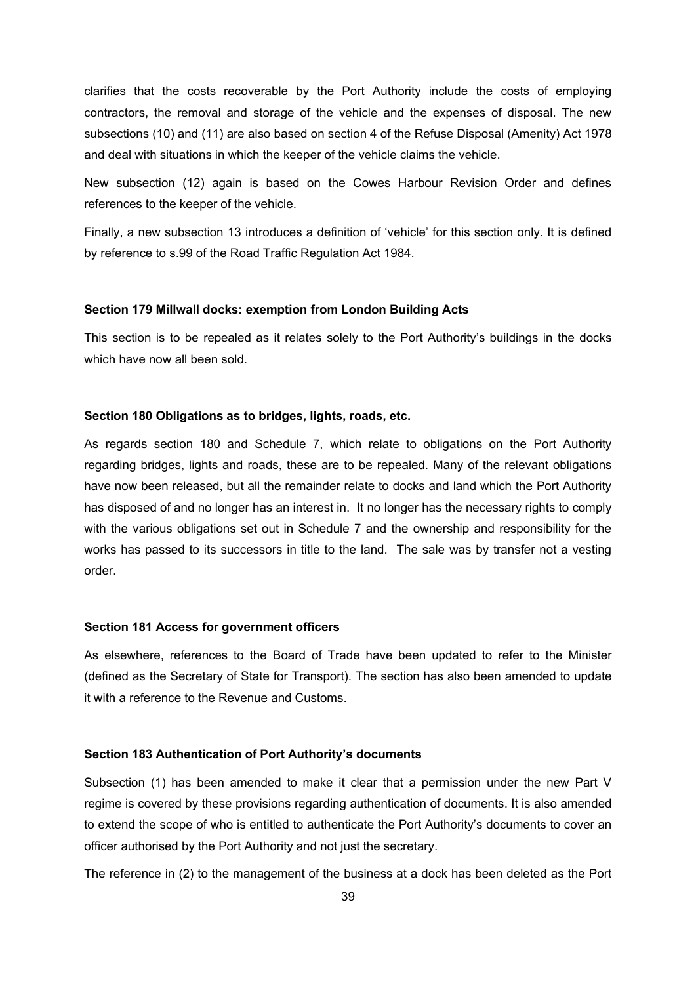clarifies that the costs recoverable by the Port Authority include the costs of employing contractors, the removal and storage of the vehicle and the expenses of disposal. The new subsections (10) and (11) are also based on section 4 of the Refuse Disposal (Amenity) Act 1978 and deal with situations in which the keeper of the vehicle claims the vehicle.

New subsection (12) again is based on the Cowes Harbour Revision Order and defines references to the keeper of the vehicle.

Finally, a new subsection 13 introduces a definition of 'vehicle' for this section only. It is defined by reference to s.99 of the Road Traffic Regulation Act 1984.

#### **Section 179 Millwall docks: exemption from London Building Acts**

This section is to be repealed as it relates solely to the Port Authority's buildings in the docks which have now all been sold.

### **Section 180 Obligations as to bridges, lights, roads, etc.**

As regards section 180 and Schedule 7, which relate to obligations on the Port Authority regarding bridges, lights and roads, these are to be repealed. Many of the relevant obligations have now been released, but all the remainder relate to docks and land which the Port Authority has disposed of and no longer has an interest in. It no longer has the necessary rights to comply with the various obligations set out in Schedule 7 and the ownership and responsibility for the works has passed to its successors in title to the land. The sale was by transfer not a vesting order.

### **Section 181 Access for government officers**

As elsewhere, references to the Board of Trade have been updated to refer to the Minister (defined as the Secretary of State for Transport). The section has also been amended to update it with a reference to the Revenue and Customs.

#### **Section 183 Authentication of Port Authority's documents**

Subsection (1) has been amended to make it clear that a permission under the new Part V regime is covered by these provisions regarding authentication of documents. It is also amended to extend the scope of who is entitled to authenticate the Port Authority's documents to cover an officer authorised by the Port Authority and not just the secretary.

The reference in (2) to the management of the business at a dock has been deleted as the Port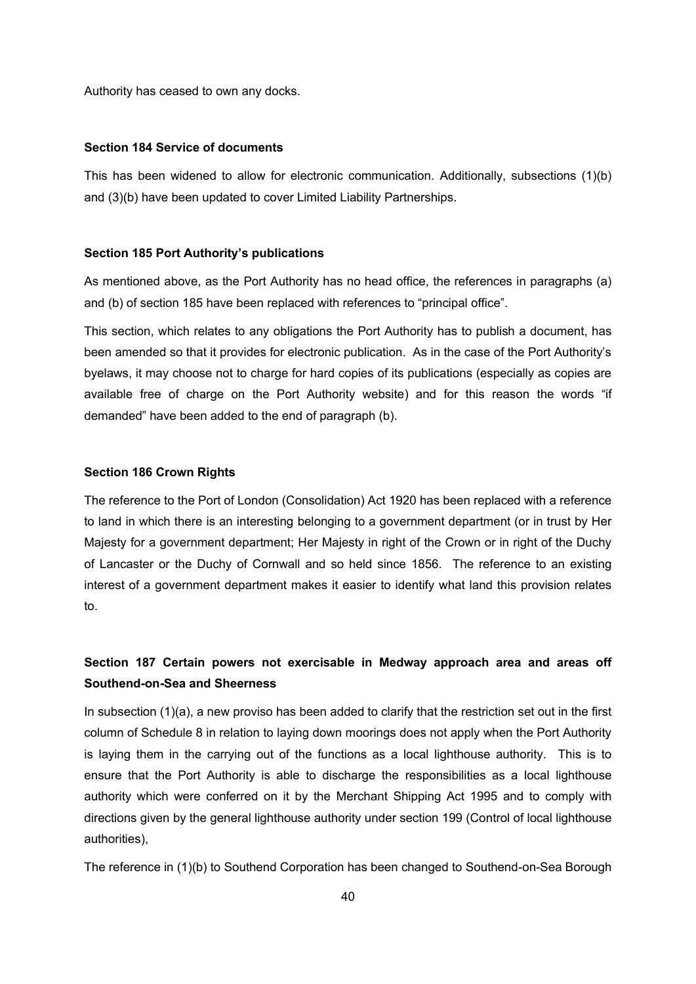Authority has ceased to own any docks.

## **Section 184 Service of documents**

This has been widened to allow for electronic communication. Additionally, subsections (1)(b) and (3)(b) have been updated to cover Limited Liability Partnerships.

### **Section 185 Port Authority's publications**

As mentioned above, as the Port Authority has no head office, the references in paragraphs (a) and (b) of section 185 have been replaced with references to "principal office".

This section, which relates to any obligations the Port Authority has to publish a document, has been amended so that it provides for electronic publication. As in the case of the Port Authority's byelaws, it may choose not to charge for hard copies of its publications (especially as copies are available free of charge on the Port Authority website) and for this reason the words "if demanded" have been added to the end of paragraph (b).

### **Section 186 Crown Rights**

The reference to the Port of London (Consolidation) Act 1920 has been replaced with a reference to land in which there is an interesting belonging to a government department (or in trust by Her Majesty for a government department; Her Majesty in right of the Crown or in right of the Duchy of Lancaster or the Duchy of Cornwall and so held since 1856. The reference to an existing interest of a government department makes it easier to identify what land this provision relates to.

# **Section 187 Certain powers not exercisable in Medway approach area and areas off Southend-on-Sea and Sheerness**

In subsection (1)(a), a new proviso has been added to clarify that the restriction set out in the first column of Schedule 8 in relation to laying down moorings does not apply when the Port Authority is laying them in the carrying out of the functions as a local lighthouse authority. This is to ensure that the Port Authority is able to discharge the responsibilities as a local lighthouse authority which were conferred on it by the Merchant Shipping Act 1995 and to comply with directions given by the general lighthouse authority under section 199 (Control of local lighthouse authorities),

The reference in (1)(b) to Southend Corporation has been changed to Southend-on-Sea Borough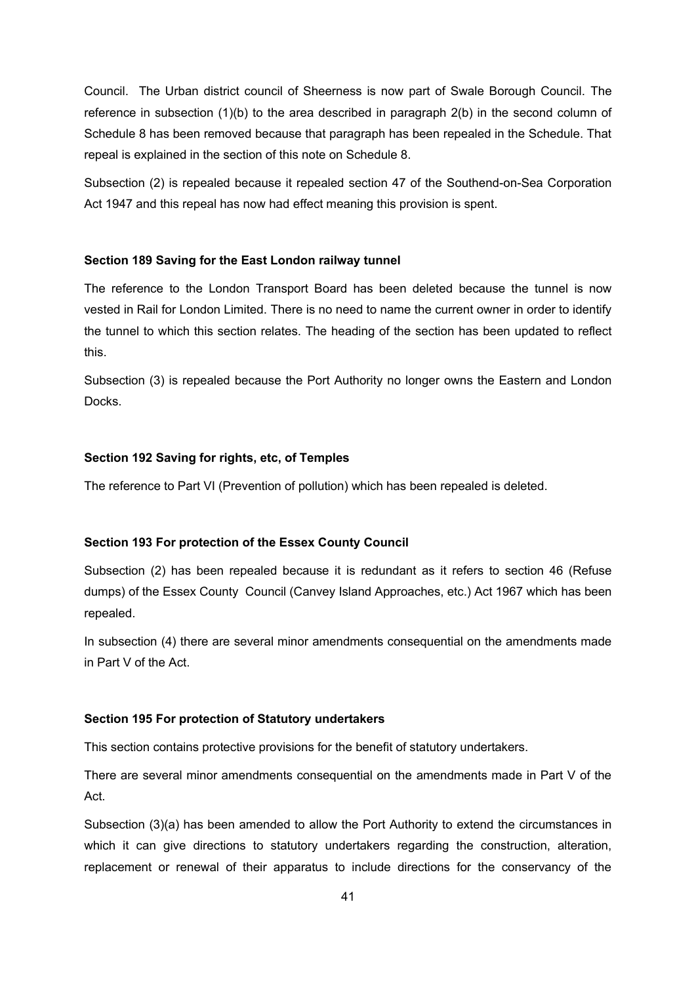Council. The Urban district council of Sheerness is now part of Swale Borough Council. The reference in subsection (1)(b) to the area described in paragraph 2(b) in the second column of Schedule 8 has been removed because that paragraph has been repealed in the Schedule. That repeal is explained in the section of this note on Schedule 8.

Subsection (2) is repealed because it repealed section 47 of the Southend-on-Sea Corporation Act 1947 and this repeal has now had effect meaning this provision is spent.

### **Section 189 Saving for the East London railway tunnel**

The reference to the London Transport Board has been deleted because the tunnel is now vested in Rail for London Limited. There is no need to name the current owner in order to identify the tunnel to which this section relates. The heading of the section has been updated to reflect this.

Subsection (3) is repealed because the Port Authority no longer owns the Eastern and London Docks.

#### **Section 192 Saving for rights, etc, of Temples**

The reference to Part VI (Prevention of pollution) which has been repealed is deleted.

## **Section 193 For protection of the Essex County Council**

Subsection (2) has been repealed because it is redundant as it refers to section 46 (Refuse dumps) of the Essex County Council (Canvey Island Approaches, etc.) Act 1967 which has been repealed.

In subsection (4) there are several minor amendments consequential on the amendments made in Part V of the Act.

#### **Section 195 For protection of Statutory undertakers**

This section contains protective provisions for the benefit of statutory undertakers.

There are several minor amendments consequential on the amendments made in Part V of the Act.

Subsection (3)(a) has been amended to allow the Port Authority to extend the circumstances in which it can give directions to statutory undertakers regarding the construction, alteration, replacement or renewal of their apparatus to include directions for the conservancy of the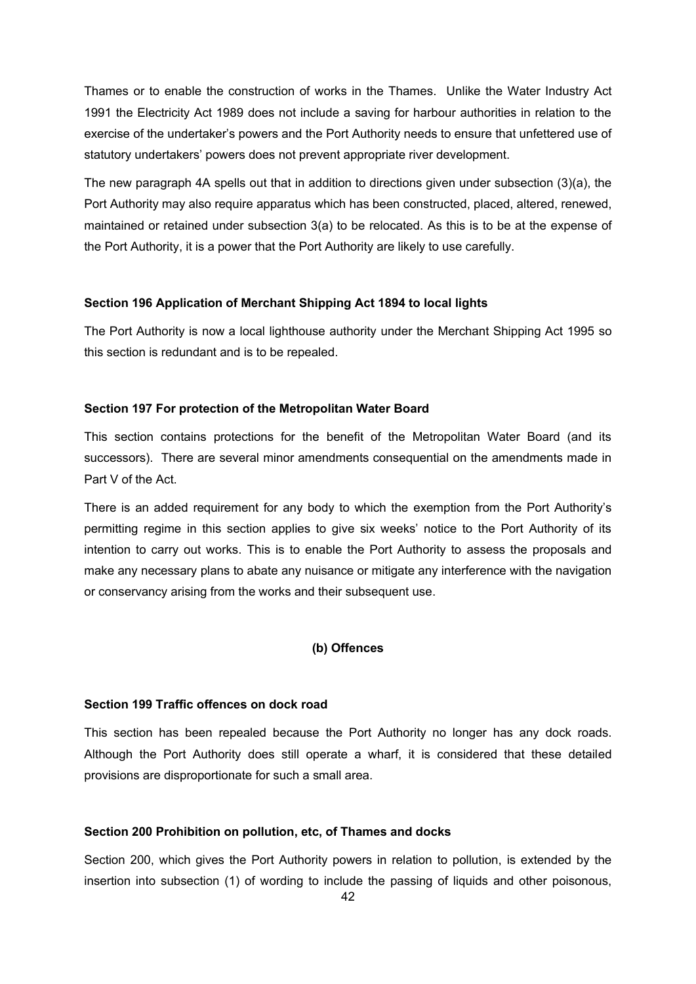Thames or to enable the construction of works in the Thames. Unlike the Water Industry Act 1991 the Electricity Act 1989 does not include a saving for harbour authorities in relation to the exercise of the undertaker's powers and the Port Authority needs to ensure that unfettered use of statutory undertakers' powers does not prevent appropriate river development.

The new paragraph 4A spells out that in addition to directions given under subsection (3)(a), the Port Authority may also require apparatus which has been constructed, placed, altered, renewed, maintained or retained under subsection 3(a) to be relocated. As this is to be at the expense of the Port Authority, it is a power that the Port Authority are likely to use carefully.

## **Section 196 Application of Merchant Shipping Act 1894 to local lights**

The Port Authority is now a local lighthouse authority under the Merchant Shipping Act 1995 so this section is redundant and is to be repealed.

### **Section 197 For protection of the Metropolitan Water Board**

This section contains protections for the benefit of the Metropolitan Water Board (and its successors). There are several minor amendments consequential on the amendments made in Part V of the Act.

There is an added requirement for any body to which the exemption from the Port Authority's permitting regime in this section applies to give six weeks' notice to the Port Authority of its intention to carry out works. This is to enable the Port Authority to assess the proposals and make any necessary plans to abate any nuisance or mitigate any interference with the navigation or conservancy arising from the works and their subsequent use.

## **(b) Offences**

#### **Section 199 Traffic offences on dock road**

This section has been repealed because the Port Authority no longer has any dock roads. Although the Port Authority does still operate a wharf, it is considered that these detailed provisions are disproportionate for such a small area.

### **Section 200 Prohibition on pollution, etc, of Thames and docks**

Section 200, which gives the Port Authority powers in relation to pollution, is extended by the insertion into subsection (1) of wording to include the passing of liquids and other poisonous,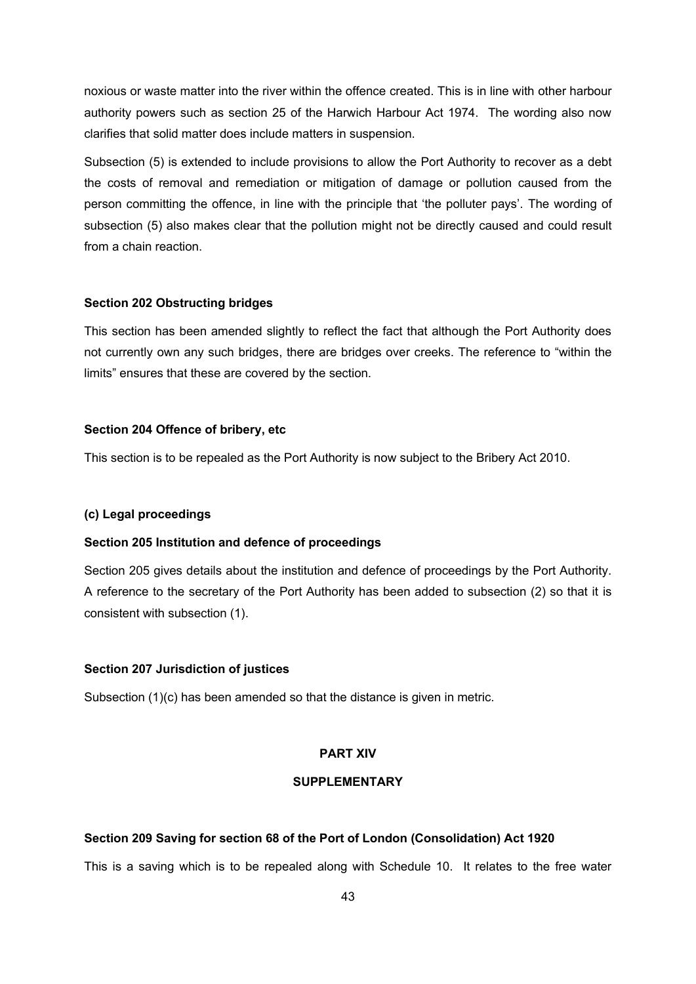noxious or waste matter into the river within the offence created. This is in line with other harbour authority powers such as section 25 of the Harwich Harbour Act 1974. The wording also now clarifies that solid matter does include matters in suspension.

Subsection (5) is extended to include provisions to allow the Port Authority to recover as a debt the costs of removal and remediation or mitigation of damage or pollution caused from the person committing the offence, in line with the principle that 'the polluter pays'. The wording of subsection (5) also makes clear that the pollution might not be directly caused and could result from a chain reaction.

## **Section 202 Obstructing bridges**

This section has been amended slightly to reflect the fact that although the Port Authority does not currently own any such bridges, there are bridges over creeks. The reference to "within the limits" ensures that these are covered by the section.

### **Section 204 Offence of bribery, etc**

This section is to be repealed as the Port Authority is now subject to the Bribery Act 2010.

### **(c) Legal proceedings**

## **Section 205 Institution and defence of proceedings**

Section 205 gives details about the institution and defence of proceedings by the Port Authority. A reference to the secretary of the Port Authority has been added to subsection (2) so that it is consistent with subsection (1).

#### **Section 207 Jurisdiction of justices**

Subsection (1)(c) has been amended so that the distance is given in metric.

### **PART XIV**

## **SUPPLEMENTARY**

## **Section 209 Saving for section 68 of the Port of London (Consolidation) Act 1920**

This is a saving which is to be repealed along with Schedule 10. It relates to the free water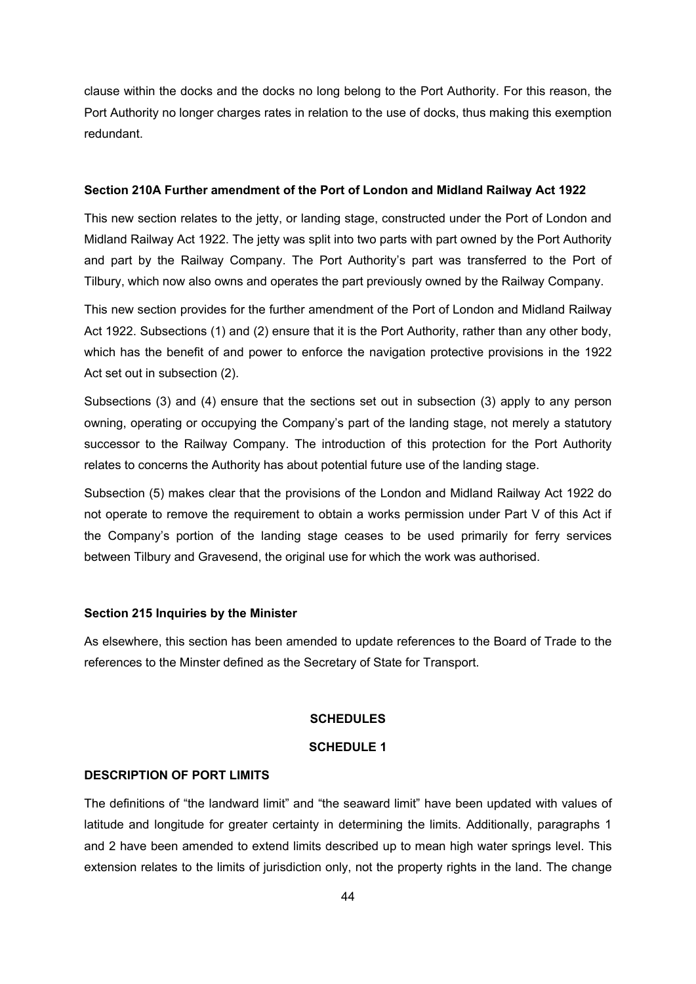clause within the docks and the docks no long belong to the Port Authority. For this reason, the Port Authority no longer charges rates in relation to the use of docks, thus making this exemption redundant.

### **Section 210A Further amendment of the Port of London and Midland Railway Act 1922**

This new section relates to the jetty, or landing stage, constructed under the Port of London and Midland Railway Act 1922. The jetty was split into two parts with part owned by the Port Authority and part by the Railway Company. The Port Authority's part was transferred to the Port of Tilbury, which now also owns and operates the part previously owned by the Railway Company.

This new section provides for the further amendment of the Port of London and Midland Railway Act 1922. Subsections (1) and (2) ensure that it is the Port Authority, rather than any other body, which has the benefit of and power to enforce the navigation protective provisions in the 1922 Act set out in subsection (2).

Subsections (3) and (4) ensure that the sections set out in subsection (3) apply to any person owning, operating or occupying the Company's part of the landing stage, not merely a statutory successor to the Railway Company. The introduction of this protection for the Port Authority relates to concerns the Authority has about potential future use of the landing stage.

Subsection (5) makes clear that the provisions of the London and Midland Railway Act 1922 do not operate to remove the requirement to obtain a works permission under Part V of this Act if the Company's portion of the landing stage ceases to be used primarily for ferry services between Tilbury and Gravesend, the original use for which the work was authorised.

#### **Section 215 Inquiries by the Minister**

As elsewhere, this section has been amended to update references to the Board of Trade to the references to the Minster defined as the Secretary of State for Transport.

### **SCHEDULES**

## **SCHEDULE 1**

## **DESCRIPTION OF PORT LIMITS**

The definitions of "the landward limit" and "the seaward limit" have been updated with values of latitude and longitude for greater certainty in determining the limits. Additionally, paragraphs 1 and 2 have been amended to extend limits described up to mean high water springs level. This extension relates to the limits of jurisdiction only, not the property rights in the land. The change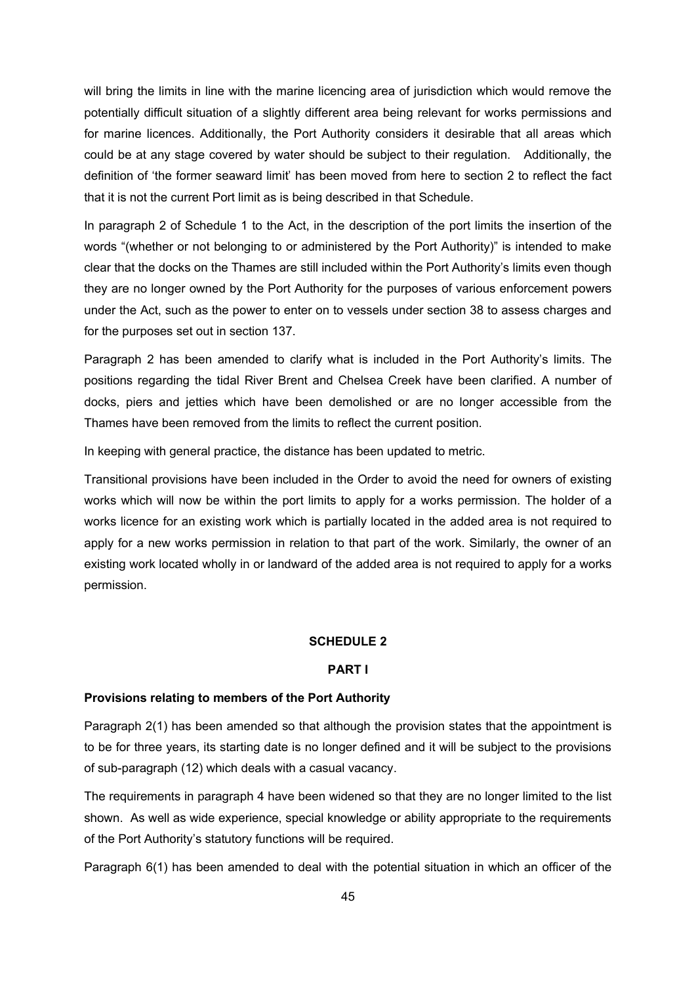will bring the limits in line with the marine licencing area of jurisdiction which would remove the potentially difficult situation of a slightly different area being relevant for works permissions and for marine licences. Additionally, the Port Authority considers it desirable that all areas which could be at any stage covered by water should be subject to their regulation. Additionally, the definition of 'the former seaward limit' has been moved from here to section 2 to reflect the fact that it is not the current Port limit as is being described in that Schedule.

In paragraph 2 of Schedule 1 to the Act, in the description of the port limits the insertion of the words "(whether or not belonging to or administered by the Port Authority)" is intended to make clear that the docks on the Thames are still included within the Port Authority's limits even though they are no longer owned by the Port Authority for the purposes of various enforcement powers under the Act, such as the power to enter on to vessels under section 38 to assess charges and for the purposes set out in section 137.

Paragraph 2 has been amended to clarify what is included in the Port Authority's limits. The positions regarding the tidal River Brent and Chelsea Creek have been clarified. A number of docks, piers and jetties which have been demolished or are no longer accessible from the Thames have been removed from the limits to reflect the current position.

In keeping with general practice, the distance has been updated to metric.

Transitional provisions have been included in the Order to avoid the need for owners of existing works which will now be within the port limits to apply for a works permission. The holder of a works licence for an existing work which is partially located in the added area is not required to apply for a new works permission in relation to that part of the work. Similarly, the owner of an existing work located wholly in or landward of the added area is not required to apply for a works permission.

#### **SCHEDULE 2**

### **PART I**

#### **Provisions relating to members of the Port Authority**

Paragraph 2(1) has been amended so that although the provision states that the appointment is to be for three years, its starting date is no longer defined and it will be subject to the provisions of sub-paragraph (12) which deals with a casual vacancy.

The requirements in paragraph 4 have been widened so that they are no longer limited to the list shown. As well as wide experience, special knowledge or ability appropriate to the requirements of the Port Authority's statutory functions will be required.

Paragraph 6(1) has been amended to deal with the potential situation in which an officer of the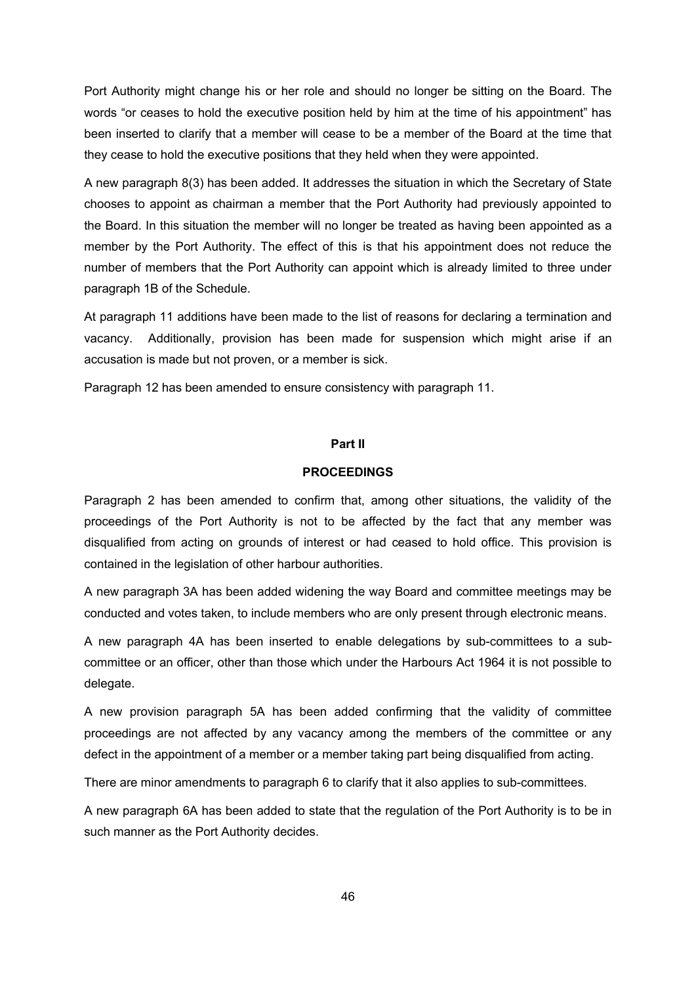Port Authority might change his or her role and should no longer be sitting on the Board. The words "or ceases to hold the executive position held by him at the time of his appointment" has been inserted to clarify that a member will cease to be a member of the Board at the time that they cease to hold the executive positions that they held when they were appointed.

A new paragraph 8(3) has been added. It addresses the situation in which the Secretary of State chooses to appoint as chairman a member that the Port Authority had previously appointed to the Board. In this situation the member will no longer be treated as having been appointed as a member by the Port Authority. The effect of this is that his appointment does not reduce the number of members that the Port Authority can appoint which is already limited to three under paragraph 1B of the Schedule.

At paragraph 11 additions have been made to the list of reasons for declaring a termination and vacancy. Additionally, provision has been made for suspension which might arise if an accusation is made but not proven, or a member is sick.

Paragraph 12 has been amended to ensure consistency with paragraph 11.

## **Part II**

#### **PROCEEDINGS**

Paragraph 2 has been amended to confirm that, among other situations, the validity of the proceedings of the Port Authority is not to be affected by the fact that any member was disqualified from acting on grounds of interest or had ceased to hold office. This provision is contained in the legislation of other harbour authorities.

A new paragraph 3A has been added widening the way Board and committee meetings may be conducted and votes taken, to include members who are only present through electronic means.

A new paragraph 4A has been inserted to enable delegations by sub-committees to a subcommittee or an officer, other than those which under the Harbours Act 1964 it is not possible to delegate.

A new provision paragraph 5A has been added confirming that the validity of committee proceedings are not affected by any vacancy among the members of the committee or any defect in the appointment of a member or a member taking part being disqualified from acting.

There are minor amendments to paragraph 6 to clarify that it also applies to sub-committees.

A new paragraph 6A has been added to state that the regulation of the Port Authority is to be in such manner as the Port Authority decides.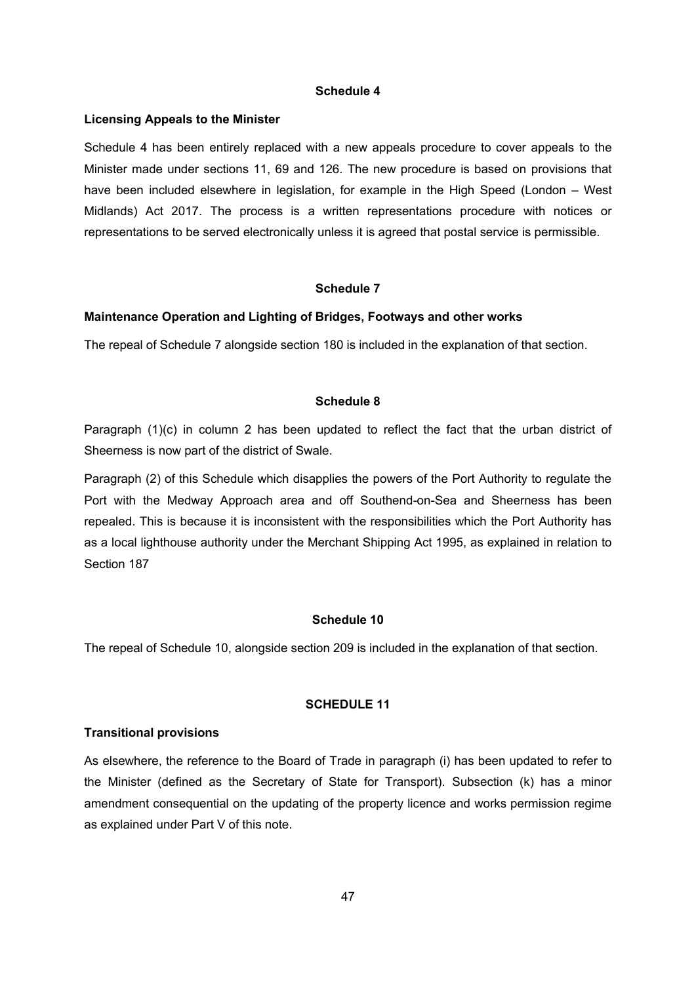### **Schedule 4**

#### **Licensing Appeals to the Minister**

Schedule 4 has been entirely replaced with a new appeals procedure to cover appeals to the Minister made under sections 11, 69 and 126. The new procedure is based on provisions that have been included elsewhere in legislation, for example in the High Speed (London – West Midlands) Act 2017. The process is a written representations procedure with notices or representations to be served electronically unless it is agreed that postal service is permissible.

#### **Schedule 7**

#### **Maintenance Operation and Lighting of Bridges, Footways and other works**

The repeal of Schedule 7 alongside section 180 is included in the explanation of that section.

## **Schedule 8**

Paragraph (1)(c) in column 2 has been updated to reflect the fact that the urban district of Sheerness is now part of the district of Swale.

Paragraph (2) of this Schedule which disapplies the powers of the Port Authority to regulate the Port with the Medway Approach area and off Southend-on-Sea and Sheerness has been repealed. This is because it is inconsistent with the responsibilities which the Port Authority has as a local lighthouse authority under the Merchant Shipping Act 1995, as explained in relation to Section 187

## **Schedule 10**

The repeal of Schedule 10, alongside section 209 is included in the explanation of that section.

#### **SCHEDULE 11**

#### **Transitional provisions**

As elsewhere, the reference to the Board of Trade in paragraph (i) has been updated to refer to the Minister (defined as the Secretary of State for Transport). Subsection (k) has a minor amendment consequential on the updating of the property licence and works permission regime as explained under Part V of this note.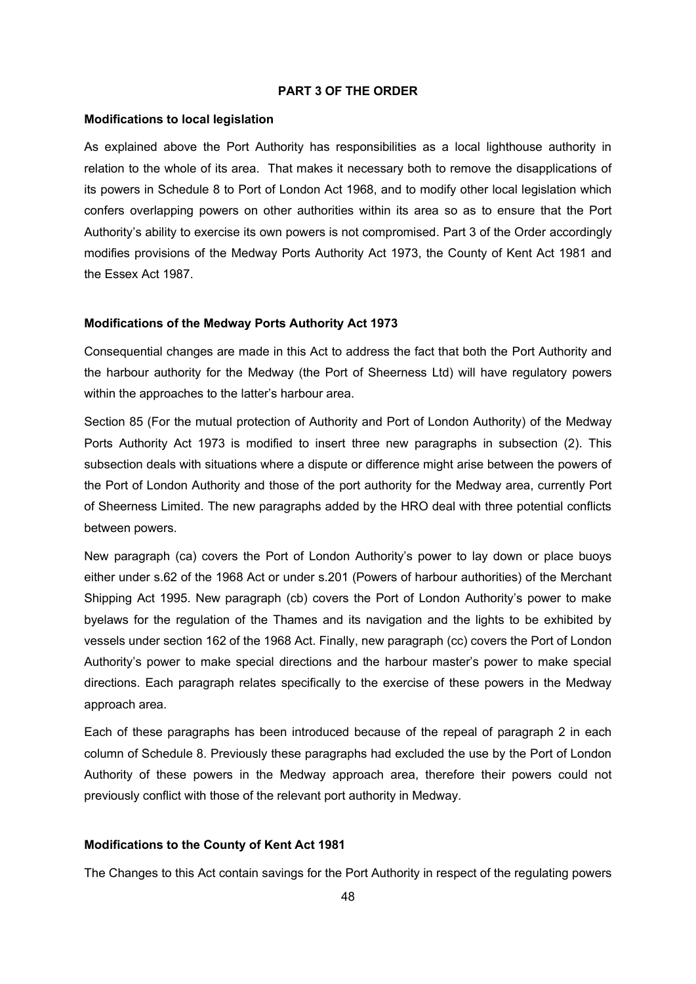## **PART 3 OF THE ORDER**

### **Modifications to local legislation**

As explained above the Port Authority has responsibilities as a local lighthouse authority in relation to the whole of its area. That makes it necessary both to remove the disapplications of its powers in Schedule 8 to Port of London Act 1968, and to modify other local legislation which confers overlapping powers on other authorities within its area so as to ensure that the Port Authority's ability to exercise its own powers is not compromised. Part 3 of the Order accordingly modifies provisions of the Medway Ports Authority Act 1973, the County of Kent Act 1981 and the Essex Act 1987.

## **Modifications of the Medway Ports Authority Act 1973**

Consequential changes are made in this Act to address the fact that both the Port Authority and the harbour authority for the Medway (the Port of Sheerness Ltd) will have regulatory powers within the approaches to the latter's harbour area.

Section 85 (For the mutual protection of Authority and Port of London Authority) of the Medway Ports Authority Act 1973 is modified to insert three new paragraphs in subsection (2). This subsection deals with situations where a dispute or difference might arise between the powers of the Port of London Authority and those of the port authority for the Medway area, currently Port of Sheerness Limited. The new paragraphs added by the HRO deal with three potential conflicts between powers.

New paragraph (ca) covers the Port of London Authority's power to lay down or place buoys either under s.62 of the 1968 Act or under s.201 (Powers of harbour authorities) of the Merchant Shipping Act 1995. New paragraph (cb) covers the Port of London Authority's power to make byelaws for the regulation of the Thames and its navigation and the lights to be exhibited by vessels under section 162 of the 1968 Act. Finally, new paragraph (cc) covers the Port of London Authority's power to make special directions and the harbour master's power to make special directions. Each paragraph relates specifically to the exercise of these powers in the Medway approach area.

Each of these paragraphs has been introduced because of the repeal of paragraph 2 in each column of Schedule 8. Previously these paragraphs had excluded the use by the Port of London Authority of these powers in the Medway approach area, therefore their powers could not previously conflict with those of the relevant port authority in Medway.

## **Modifications to the County of Kent Act 1981**

The Changes to this Act contain savings for the Port Authority in respect of the regulating powers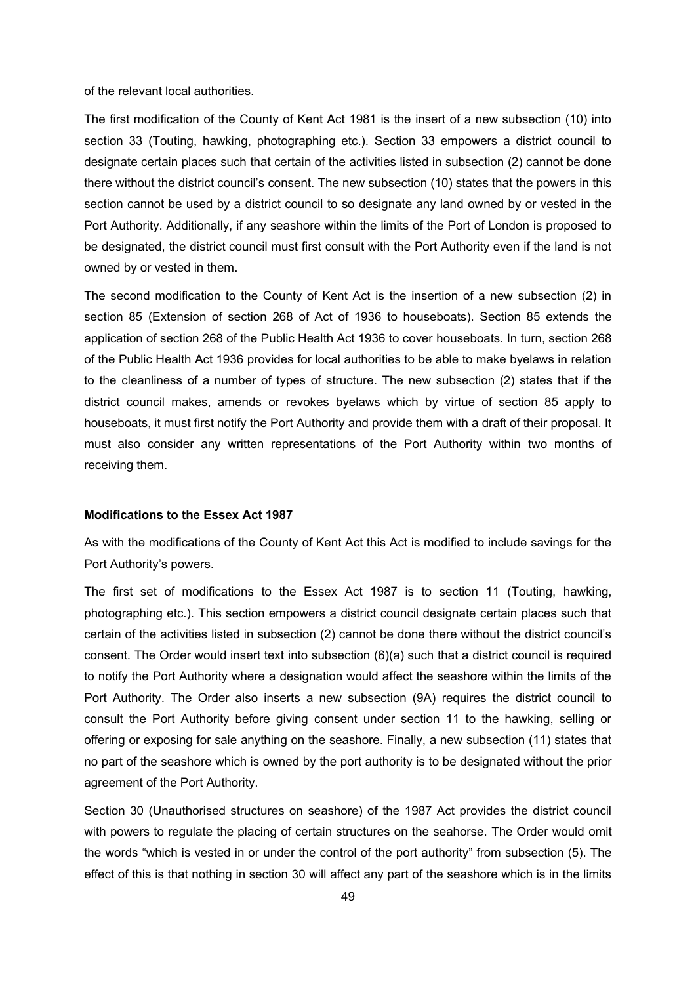of the relevant local authorities.

The first modification of the County of Kent Act 1981 is the insert of a new subsection (10) into section 33 (Touting, hawking, photographing etc.). Section 33 empowers a district council to designate certain places such that certain of the activities listed in subsection (2) cannot be done there without the district council's consent. The new subsection (10) states that the powers in this section cannot be used by a district council to so designate any land owned by or vested in the Port Authority. Additionally, if any seashore within the limits of the Port of London is proposed to be designated, the district council must first consult with the Port Authority even if the land is not owned by or vested in them.

The second modification to the County of Kent Act is the insertion of a new subsection (2) in section 85 (Extension of section 268 of Act of 1936 to houseboats). Section 85 extends the application of section 268 of the Public Health Act 1936 to cover houseboats. In turn, section 268 of the Public Health Act 1936 provides for local authorities to be able to make byelaws in relation to the cleanliness of a number of types of structure. The new subsection (2) states that if the district council makes, amends or revokes byelaws which by virtue of section 85 apply to houseboats, it must first notify the Port Authority and provide them with a draft of their proposal. It must also consider any written representations of the Port Authority within two months of receiving them.

#### **Modifications to the Essex Act 1987**

As with the modifications of the County of Kent Act this Act is modified to include savings for the Port Authority's powers.

The first set of modifications to the Essex Act 1987 is to section 11 (Touting, hawking, photographing etc.). This section empowers a district council designate certain places such that certain of the activities listed in subsection (2) cannot be done there without the district council's consent. The Order would insert text into subsection (6)(a) such that a district council is required to notify the Port Authority where a designation would affect the seashore within the limits of the Port Authority. The Order also inserts a new subsection (9A) requires the district council to consult the Port Authority before giving consent under section 11 to the hawking, selling or offering or exposing for sale anything on the seashore. Finally, a new subsection (11) states that no part of the seashore which is owned by the port authority is to be designated without the prior agreement of the Port Authority.

Section 30 (Unauthorised structures on seashore) of the 1987 Act provides the district council with powers to regulate the placing of certain structures on the seahorse. The Order would omit the words "which is vested in or under the control of the port authority" from subsection (5). The effect of this is that nothing in section 30 will affect any part of the seashore which is in the limits